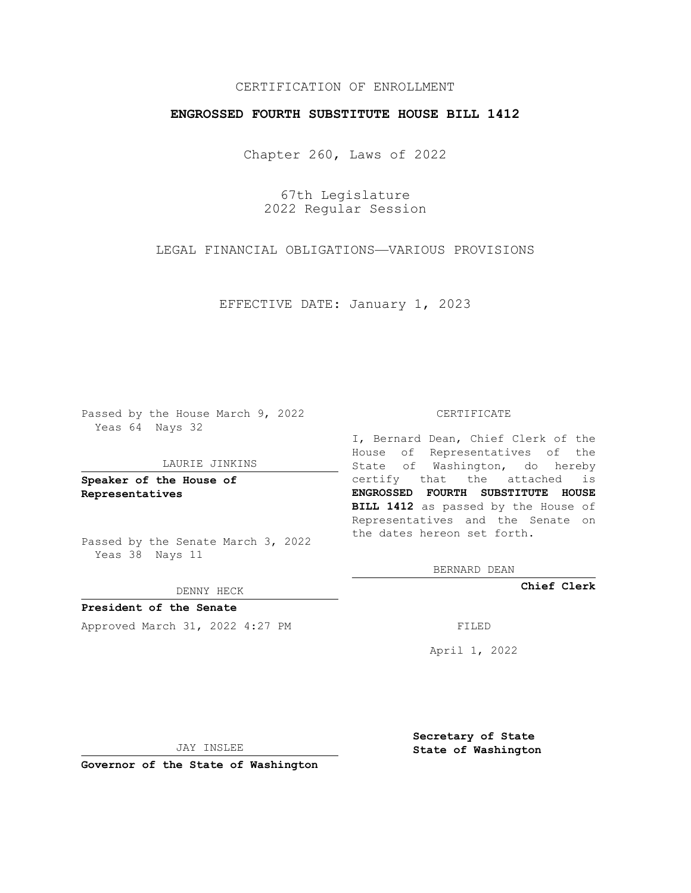## CERTIFICATION OF ENROLLMENT

### **ENGROSSED FOURTH SUBSTITUTE HOUSE BILL 1412**

Chapter 260, Laws of 2022

67th Legislature 2022 Regular Session

LEGAL FINANCIAL OBLIGATIONS—VARIOUS PROVISIONS

EFFECTIVE DATE: January 1, 2023

Passed by the House March 9, 2022 Yeas 64 Nays 32

#### LAURIE JINKINS

**Speaker of the House of Representatives**

Passed by the Senate March 3, 2022 Yeas 38 Nays 11

DENNY HECK

**President of the Senate** Approved March 31, 2022 4:27 PM

#### CERTIFICATE

I, Bernard Dean, Chief Clerk of the House of Representatives of the State of Washington, do hereby certify that the attached is **ENGROSSED FOURTH SUBSTITUTE HOUSE BILL 1412** as passed by the House of Representatives and the Senate on the dates hereon set forth.

BERNARD DEAN

**Chief Clerk**

April 1, 2022

JAY INSLEE

**Governor of the State of Washington**

**Secretary of State State of Washington**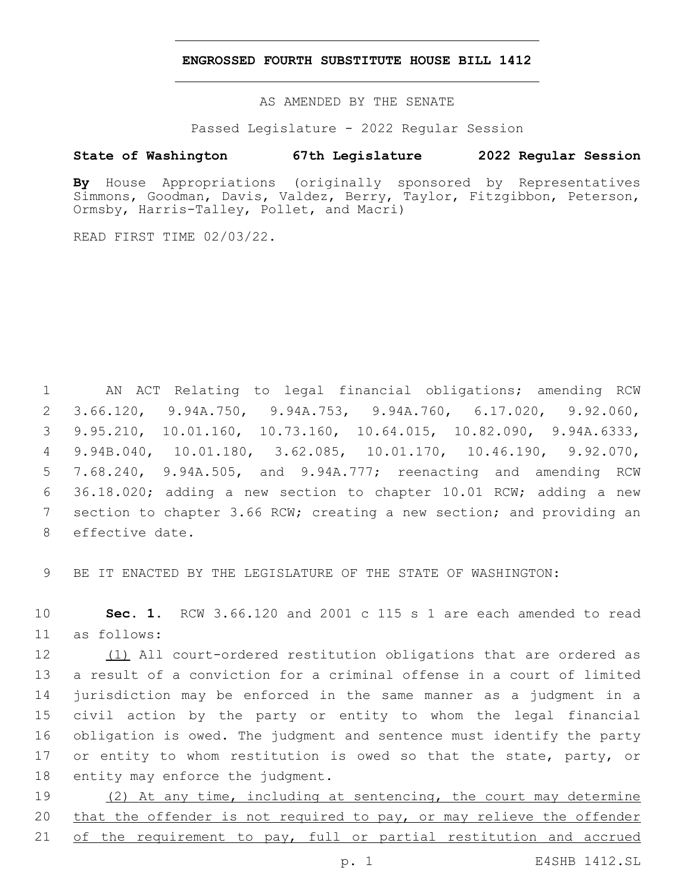### **ENGROSSED FOURTH SUBSTITUTE HOUSE BILL 1412**

AS AMENDED BY THE SENATE

Passed Legislature - 2022 Regular Session

# **State of Washington 67th Legislature 2022 Regular Session**

**By** House Appropriations (originally sponsored by Representatives Simmons, Goodman, Davis, Valdez, Berry, Taylor, Fitzgibbon, Peterson, Ormsby, Harris-Talley, Pollet, and Macri)

READ FIRST TIME 02/03/22.

 AN ACT Relating to legal financial obligations; amending RCW 3.66.120, 9.94A.750, 9.94A.753, 9.94A.760, 6.17.020, 9.92.060, 9.95.210, 10.01.160, 10.73.160, 10.64.015, 10.82.090, 9.94A.6333, 9.94B.040, 10.01.180, 3.62.085, 10.01.170, 10.46.190, 9.92.070, 7.68.240, 9.94A.505, and 9.94A.777; reenacting and amending RCW 36.18.020; adding a new section to chapter 10.01 RCW; adding a new section to chapter 3.66 RCW; creating a new section; and providing an 8 effective date.

9 BE IT ENACTED BY THE LEGISLATURE OF THE STATE OF WASHINGTON:

10 **Sec. 1.** RCW 3.66.120 and 2001 c 115 s 1 are each amended to read as follows:11

 (1) All court-ordered restitution obligations that are ordered as a result of a conviction for a criminal offense in a court of limited jurisdiction may be enforced in the same manner as a judgment in a civil action by the party or entity to whom the legal financial obligation is owed. The judgment and sentence must identify the party 17 or entity to whom restitution is owed so that the state, party, or 18 entity may enforce the judgment.

19 (2) At any time, including at sentencing, the court may determine 20 that the offender is not required to pay, or may relieve the offender 21 of the requirement to pay, full or partial restitution and accrued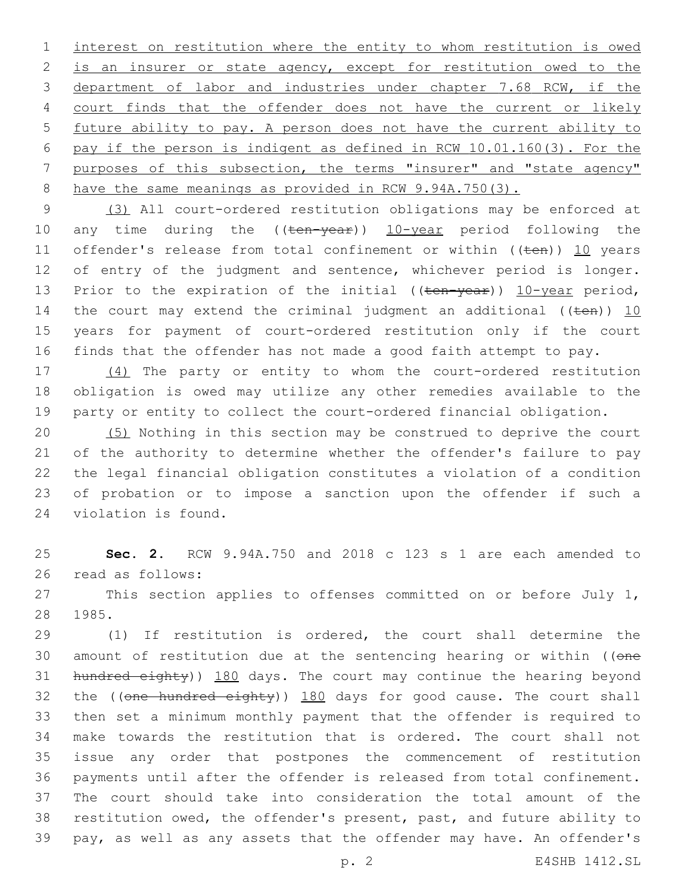interest on restitution where the entity to whom restitution is owed is an insurer or state agency, except for restitution owed to the department of labor and industries under chapter 7.68 RCW, if the court finds that the offender does not have the current or likely future ability to pay. A person does not have the current ability to pay if the person is indigent as defined in RCW 10.01.160(3). For the purposes of this subsection, the terms "insurer" and "state agency" have the same meanings as provided in RCW 9.94A.750(3).

 (3) All court-ordered restitution obligations may be enforced at 10 any time during the ((ten-year)) 10-year period following the 11 offender's release from total confinement or within ((ten)) 10 years 12 of entry of the judgment and sentence, whichever period is longer. 13 Prior to the expiration of the initial ((ten-year)) 10-year period, 14 the court may extend the criminal judgment an additional (( $t$ en)) 10 years for payment of court-ordered restitution only if the court finds that the offender has not made a good faith attempt to pay.

 (4) The party or entity to whom the court-ordered restitution obligation is owed may utilize any other remedies available to the party or entity to collect the court-ordered financial obligation.

 (5) Nothing in this section may be construed to deprive the court of the authority to determine whether the offender's failure to pay the legal financial obligation constitutes a violation of a condition of probation or to impose a sanction upon the offender if such a 24 violation is found.

 **Sec. 2.** RCW 9.94A.750 and 2018 c 123 s 1 are each amended to 26 read as follows:

27 This section applies to offenses committed on or before July 1, 28 1985.

 (1) If restitution is ordered, the court shall determine the 30 amount of restitution due at the sentencing hearing or within ((one 31 hundred eighty)) 180 days. The court may continue the hearing beyond 32 the ((one hundred eighty)) 180 days for good cause. The court shall then set a minimum monthly payment that the offender is required to make towards the restitution that is ordered. The court shall not issue any order that postpones the commencement of restitution payments until after the offender is released from total confinement. The court should take into consideration the total amount of the restitution owed, the offender's present, past, and future ability to pay, as well as any assets that the offender may have. An offender's

p. 2 E4SHB 1412.SL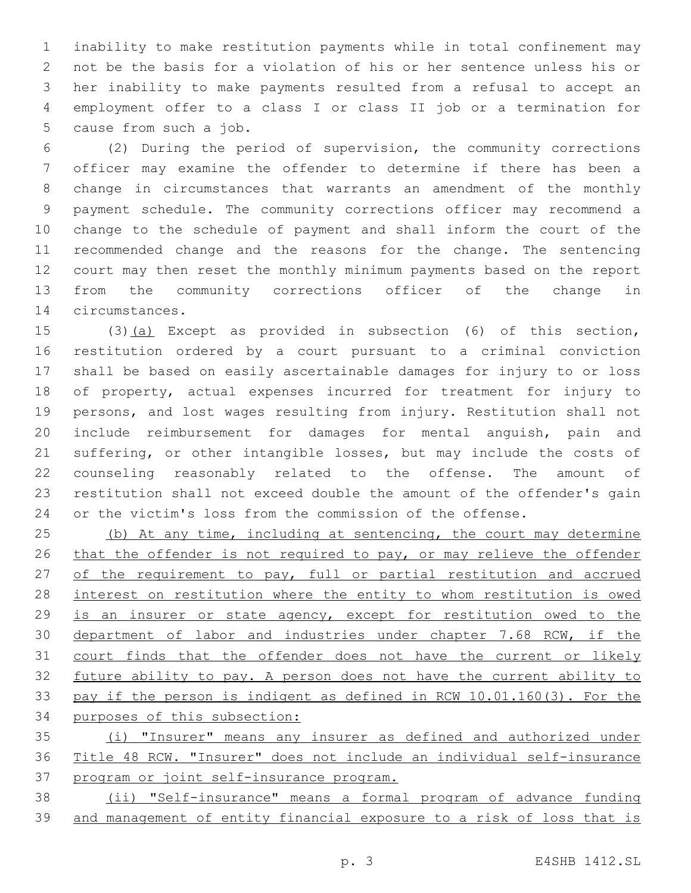inability to make restitution payments while in total confinement may not be the basis for a violation of his or her sentence unless his or her inability to make payments resulted from a refusal to accept an employment offer to a class I or class II job or a termination for 5 cause from such a job.

 (2) During the period of supervision, the community corrections officer may examine the offender to determine if there has been a change in circumstances that warrants an amendment of the monthly payment schedule. The community corrections officer may recommend a change to the schedule of payment and shall inform the court of the recommended change and the reasons for the change. The sentencing court may then reset the monthly minimum payments based on the report from the community corrections officer of the change in 14 circumstances.

 (3)(a) Except as provided in subsection (6) of this section, restitution ordered by a court pursuant to a criminal conviction shall be based on easily ascertainable damages for injury to or loss of property, actual expenses incurred for treatment for injury to persons, and lost wages resulting from injury. Restitution shall not include reimbursement for damages for mental anguish, pain and suffering, or other intangible losses, but may include the costs of counseling reasonably related to the offense. The amount of restitution shall not exceed double the amount of the offender's gain or the victim's loss from the commission of the offense.

25 (b) At any time, including at sentencing, the court may determine 26 that the offender is not required to pay, or may relieve the offender 27 of the requirement to pay, full or partial restitution and accrued interest on restitution where the entity to whom restitution is owed is an insurer or state agency, except for restitution owed to the department of labor and industries under chapter 7.68 RCW, if the 31 court finds that the offender does not have the current or likely future ability to pay. A person does not have the current ability to pay if the person is indigent as defined in RCW 10.01.160(3). For the purposes of this subsection:

 (i) "Insurer" means any insurer as defined and authorized under Title 48 RCW. "Insurer" does not include an individual self-insurance program or joint self-insurance program.

 (ii) "Self-insurance" means a formal program of advance funding and management of entity financial exposure to a risk of loss that is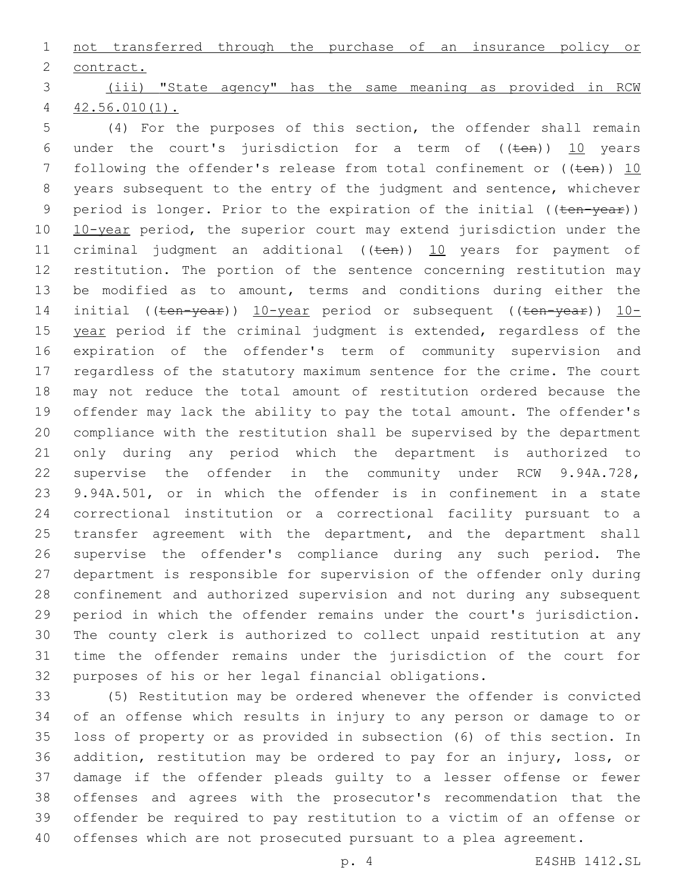not transferred through the purchase of an insurance policy or 2 contract.

 (iii) "State agency" has the same meaning as provided in RCW 42.56.010(1).

 (4) For the purposes of this section, the offender shall remain 6 under the court's jurisdiction for a term of  $((\text{ten}))$  10 years 7 following the offender's release from total confinement or  $((\text{ten}))$  10 years subsequent to the entry of the judgment and sentence, whichever 9 period is longer. Prior to the expiration of the initial ((ten-year)) 10 10-year period, the superior court may extend jurisdiction under the 11 criminal judgment an additional  $((\text{ten}))$  10 years for payment of restitution. The portion of the sentence concerning restitution may 13 be modified as to amount, terms and conditions during either the 14 initial ((ten-year)) 10-year period or subsequent ((ten-year)) 10-15 year period if the criminal judgment is extended, regardless of the expiration of the offender's term of community supervision and regardless of the statutory maximum sentence for the crime. The court may not reduce the total amount of restitution ordered because the offender may lack the ability to pay the total amount. The offender's compliance with the restitution shall be supervised by the department only during any period which the department is authorized to supervise the offender in the community under RCW 9.94A.728, 9.94A.501, or in which the offender is in confinement in a state correctional institution or a correctional facility pursuant to a 25 transfer agreement with the department, and the department shall supervise the offender's compliance during any such period. The department is responsible for supervision of the offender only during confinement and authorized supervision and not during any subsequent period in which the offender remains under the court's jurisdiction. The county clerk is authorized to collect unpaid restitution at any time the offender remains under the jurisdiction of the court for purposes of his or her legal financial obligations.

 (5) Restitution may be ordered whenever the offender is convicted of an offense which results in injury to any person or damage to or loss of property or as provided in subsection (6) of this section. In addition, restitution may be ordered to pay for an injury, loss, or damage if the offender pleads guilty to a lesser offense or fewer offenses and agrees with the prosecutor's recommendation that the offender be required to pay restitution to a victim of an offense or offenses which are not prosecuted pursuant to a plea agreement.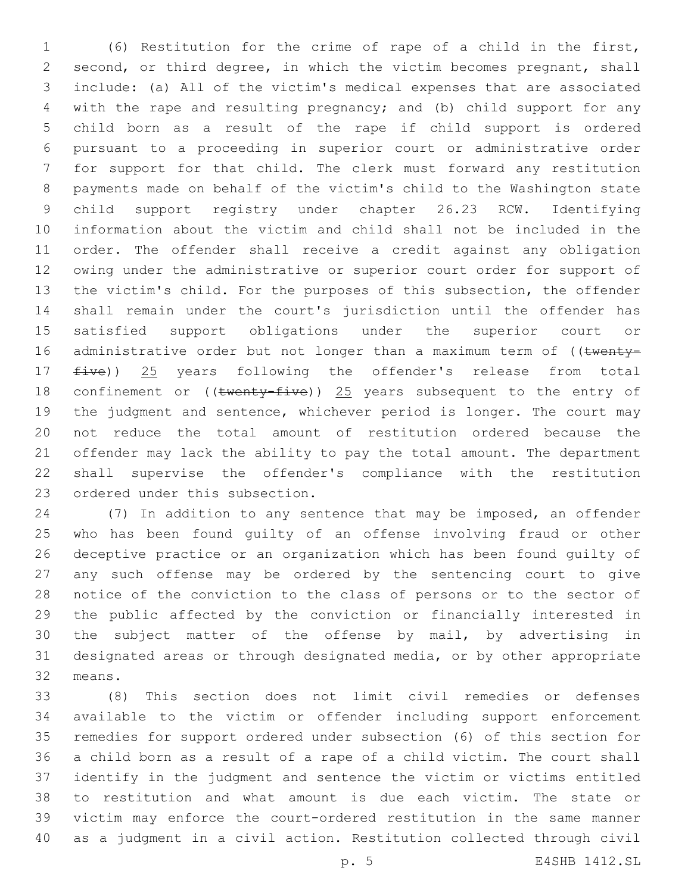(6) Restitution for the crime of rape of a child in the first, second, or third degree, in which the victim becomes pregnant, shall include: (a) All of the victim's medical expenses that are associated with the rape and resulting pregnancy; and (b) child support for any child born as a result of the rape if child support is ordered pursuant to a proceeding in superior court or administrative order for support for that child. The clerk must forward any restitution payments made on behalf of the victim's child to the Washington state child support registry under chapter 26.23 RCW. Identifying information about the victim and child shall not be included in the order. The offender shall receive a credit against any obligation owing under the administrative or superior court order for support of the victim's child. For the purposes of this subsection, the offender shall remain under the court's jurisdiction until the offender has satisfied support obligations under the superior court or 16 administrative order but not longer than a maximum term of ((twenty-17 five)) 25 years following the offender's release from total 18 confinement or ((twenty-five)) 25 years subsequent to the entry of the judgment and sentence, whichever period is longer. The court may not reduce the total amount of restitution ordered because the offender may lack the ability to pay the total amount. The department shall supervise the offender's compliance with the restitution 23 ordered under this subsection.

 (7) In addition to any sentence that may be imposed, an offender who has been found guilty of an offense involving fraud or other deceptive practice or an organization which has been found guilty of any such offense may be ordered by the sentencing court to give notice of the conviction to the class of persons or to the sector of the public affected by the conviction or financially interested in the subject matter of the offense by mail, by advertising in designated areas or through designated media, or by other appropriate 32 means.

 (8) This section does not limit civil remedies or defenses available to the victim or offender including support enforcement remedies for support ordered under subsection (6) of this section for a child born as a result of a rape of a child victim. The court shall identify in the judgment and sentence the victim or victims entitled to restitution and what amount is due each victim. The state or victim may enforce the court-ordered restitution in the same manner as a judgment in a civil action. Restitution collected through civil

p. 5 E4SHB 1412.SL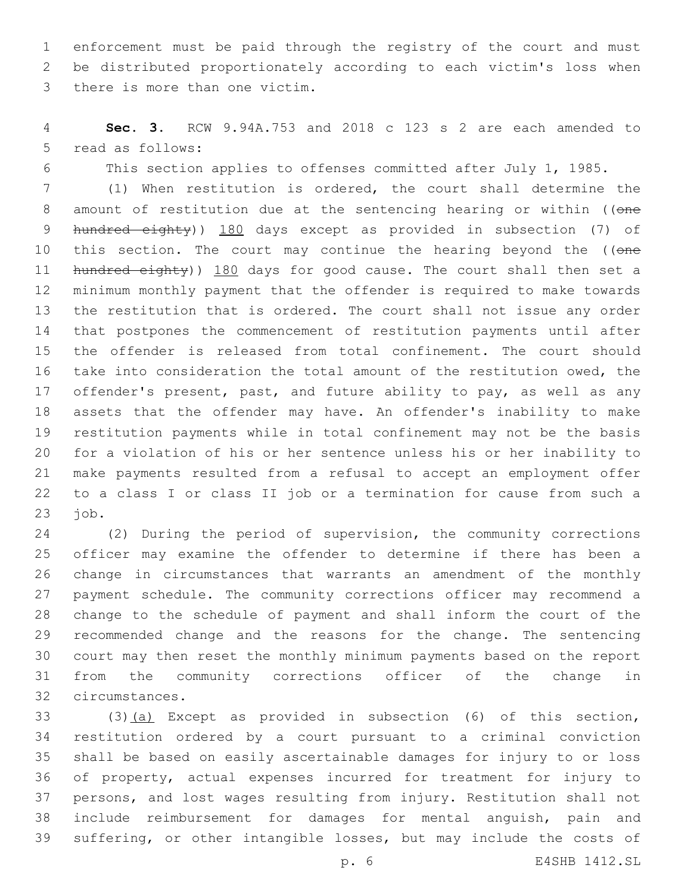enforcement must be paid through the registry of the court and must be distributed proportionately according to each victim's loss when 3 there is more than one victim.

 **Sec. 3.** RCW 9.94A.753 and 2018 c 123 s 2 are each amended to 5 read as follows:

This section applies to offenses committed after July 1, 1985.

 (1) When restitution is ordered, the court shall determine the 8 amount of restitution due at the sentencing hearing or within ((one 9 hundred eighty)) 180 days except as provided in subsection (7) of 10 this section. The court may continue the hearing beyond the ((one 11 hundred eighty)) 180 days for good cause. The court shall then set a minimum monthly payment that the offender is required to make towards the restitution that is ordered. The court shall not issue any order that postpones the commencement of restitution payments until after the offender is released from total confinement. The court should take into consideration the total amount of the restitution owed, the offender's present, past, and future ability to pay, as well as any assets that the offender may have. An offender's inability to make restitution payments while in total confinement may not be the basis for a violation of his or her sentence unless his or her inability to make payments resulted from a refusal to accept an employment offer to a class I or class II job or a termination for cause from such a job.

 (2) During the period of supervision, the community corrections officer may examine the offender to determine if there has been a change in circumstances that warrants an amendment of the monthly payment schedule. The community corrections officer may recommend a change to the schedule of payment and shall inform the court of the recommended change and the reasons for the change. The sentencing court may then reset the monthly minimum payments based on the report from the community corrections officer of the change in circumstances.32

 (3)(a) Except as provided in subsection (6) of this section, restitution ordered by a court pursuant to a criminal conviction shall be based on easily ascertainable damages for injury to or loss of property, actual expenses incurred for treatment for injury to persons, and lost wages resulting from injury. Restitution shall not include reimbursement for damages for mental anguish, pain and suffering, or other intangible losses, but may include the costs of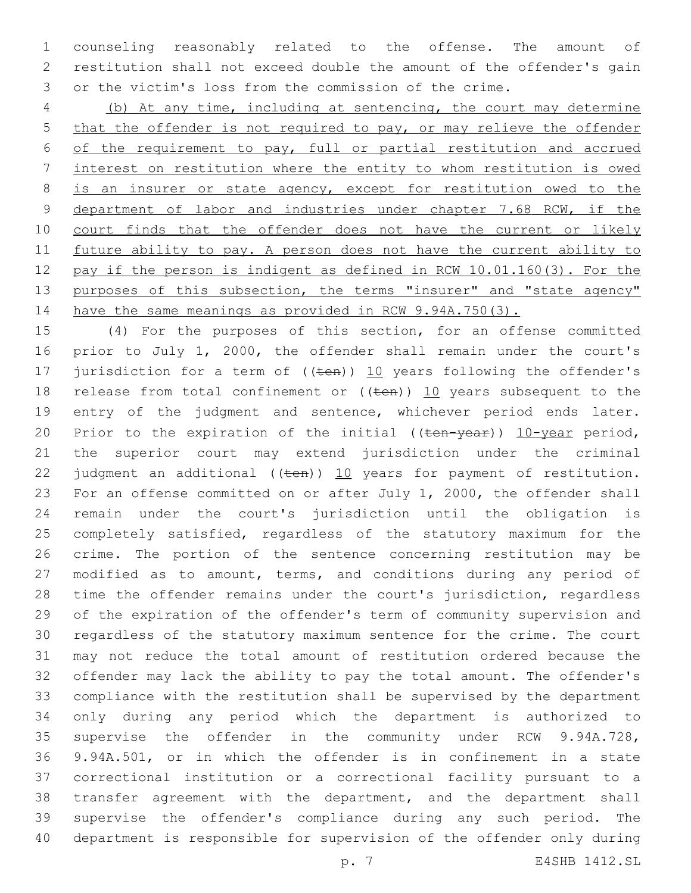counseling reasonably related to the offense. The amount of restitution shall not exceed double the amount of the offender's gain or the victim's loss from the commission of the crime.

 (b) At any time, including at sentencing, the court may determine 5 that the offender is not required to pay, or may relieve the offender of the requirement to pay, full or partial restitution and accrued interest on restitution where the entity to whom restitution is owed 8 is an insurer or state agency, except for restitution owed to the 9 department of labor and industries under chapter 7.68 RCW, if the 10 court finds that the offender does not have the current or likely future ability to pay. A person does not have the current ability to pay if the person is indigent as defined in RCW 10.01.160(3). For the 13 purposes of this subsection, the terms "insurer" and "state agency" 14 have the same meanings as provided in RCW 9.94A.750(3).

 (4) For the purposes of this section, for an offense committed prior to July 1, 2000, the offender shall remain under the court's 17 jurisdiction for a term of  $((\text{ten}))$  10 years following the offender's 18 release from total confinement or  $((\text{ten}))$  10 years subsequent to the entry of the judgment and sentence, whichever period ends later. 20 Prior to the expiration of the initial  $((\text{ten-year}))$   $10$ -year period, the superior court may extend jurisdiction under the criminal 22 judgment an additional  $((\text{ten}))$  10 years for payment of restitution. For an offense committed on or after July 1, 2000, the offender shall remain under the court's jurisdiction until the obligation is completely satisfied, regardless of the statutory maximum for the crime. The portion of the sentence concerning restitution may be modified as to amount, terms, and conditions during any period of time the offender remains under the court's jurisdiction, regardless of the expiration of the offender's term of community supervision and regardless of the statutory maximum sentence for the crime. The court may not reduce the total amount of restitution ordered because the offender may lack the ability to pay the total amount. The offender's compliance with the restitution shall be supervised by the department only during any period which the department is authorized to supervise the offender in the community under RCW 9.94A.728, 9.94A.501, or in which the offender is in confinement in a state correctional institution or a correctional facility pursuant to a transfer agreement with the department, and the department shall supervise the offender's compliance during any such period. The department is responsible for supervision of the offender only during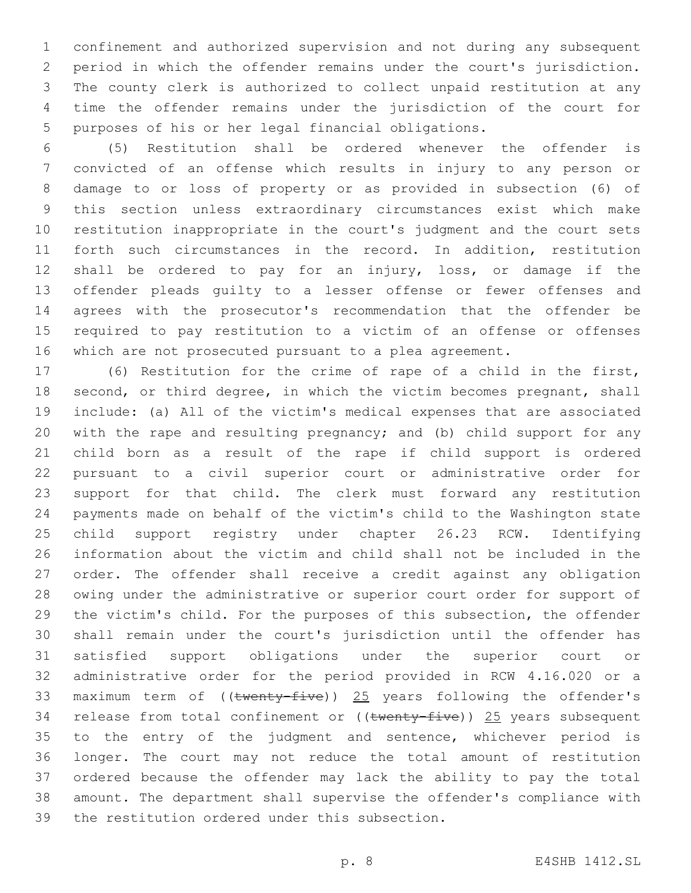confinement and authorized supervision and not during any subsequent period in which the offender remains under the court's jurisdiction. The county clerk is authorized to collect unpaid restitution at any time the offender remains under the jurisdiction of the court for purposes of his or her legal financial obligations.

 (5) Restitution shall be ordered whenever the offender is convicted of an offense which results in injury to any person or damage to or loss of property or as provided in subsection (6) of this section unless extraordinary circumstances exist which make restitution inappropriate in the court's judgment and the court sets forth such circumstances in the record. In addition, restitution shall be ordered to pay for an injury, loss, or damage if the offender pleads guilty to a lesser offense or fewer offenses and agrees with the prosecutor's recommendation that the offender be required to pay restitution to a victim of an offense or offenses which are not prosecuted pursuant to a plea agreement.

 (6) Restitution for the crime of rape of a child in the first, 18 second, or third degree, in which the victim becomes pregnant, shall include: (a) All of the victim's medical expenses that are associated with the rape and resulting pregnancy; and (b) child support for any child born as a result of the rape if child support is ordered pursuant to a civil superior court or administrative order for support for that child. The clerk must forward any restitution payments made on behalf of the victim's child to the Washington state child support registry under chapter 26.23 RCW. Identifying information about the victim and child shall not be included in the order. The offender shall receive a credit against any obligation owing under the administrative or superior court order for support of the victim's child. For the purposes of this subsection, the offender shall remain under the court's jurisdiction until the offender has satisfied support obligations under the superior court or administrative order for the period provided in RCW 4.16.020 or a 33 maximum term of ((twenty-five)) 25 years following the offender's 34 release from total confinement or ((twenty-five)) 25 years subsequent to the entry of the judgment and sentence, whichever period is longer. The court may not reduce the total amount of restitution ordered because the offender may lack the ability to pay the total amount. The department shall supervise the offender's compliance with 39 the restitution ordered under this subsection.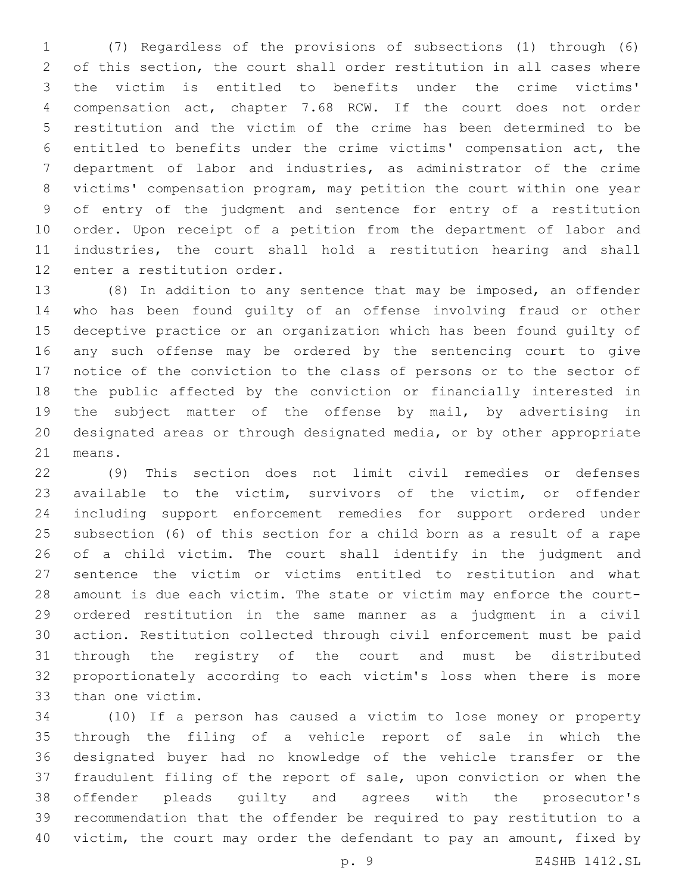(7) Regardless of the provisions of subsections (1) through (6) of this section, the court shall order restitution in all cases where the victim is entitled to benefits under the crime victims' compensation act, chapter 7.68 RCW. If the court does not order restitution and the victim of the crime has been determined to be entitled to benefits under the crime victims' compensation act, the department of labor and industries, as administrator of the crime victims' compensation program, may petition the court within one year of entry of the judgment and sentence for entry of a restitution order. Upon receipt of a petition from the department of labor and industries, the court shall hold a restitution hearing and shall 12 enter a restitution order.

 (8) In addition to any sentence that may be imposed, an offender who has been found guilty of an offense involving fraud or other deceptive practice or an organization which has been found guilty of any such offense may be ordered by the sentencing court to give notice of the conviction to the class of persons or to the sector of the public affected by the conviction or financially interested in the subject matter of the offense by mail, by advertising in designated areas or through designated media, or by other appropriate 21 means.

 (9) This section does not limit civil remedies or defenses available to the victim, survivors of the victim, or offender including support enforcement remedies for support ordered under subsection (6) of this section for a child born as a result of a rape of a child victim. The court shall identify in the judgment and sentence the victim or victims entitled to restitution and what amount is due each victim. The state or victim may enforce the court- ordered restitution in the same manner as a judgment in a civil action. Restitution collected through civil enforcement must be paid through the registry of the court and must be distributed proportionately according to each victim's loss when there is more 33 than one victim.

 (10) If a person has caused a victim to lose money or property through the filing of a vehicle report of sale in which the designated buyer had no knowledge of the vehicle transfer or the fraudulent filing of the report of sale, upon conviction or when the offender pleads guilty and agrees with the prosecutor's recommendation that the offender be required to pay restitution to a victim, the court may order the defendant to pay an amount, fixed by

p. 9 E4SHB 1412.SL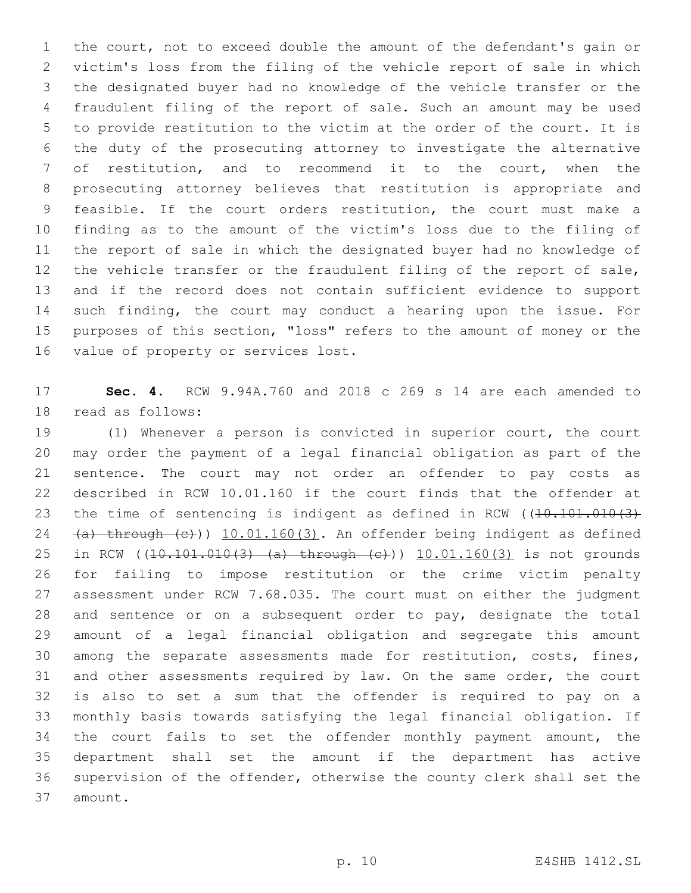the court, not to exceed double the amount of the defendant's gain or victim's loss from the filing of the vehicle report of sale in which the designated buyer had no knowledge of the vehicle transfer or the fraudulent filing of the report of sale. Such an amount may be used to provide restitution to the victim at the order of the court. It is the duty of the prosecuting attorney to investigate the alternative of restitution, and to recommend it to the court, when the prosecuting attorney believes that restitution is appropriate and feasible. If the court orders restitution, the court must make a finding as to the amount of the victim's loss due to the filing of the report of sale in which the designated buyer had no knowledge of the vehicle transfer or the fraudulent filing of the report of sale, and if the record does not contain sufficient evidence to support such finding, the court may conduct a hearing upon the issue. For purposes of this section, "loss" refers to the amount of money or the 16 value of property or services lost.

 **Sec. 4.** RCW 9.94A.760 and 2018 c 269 s 14 are each amended to 18 read as follows:

 (1) Whenever a person is convicted in superior court, the court may order the payment of a legal financial obligation as part of the sentence. The court may not order an offender to pay costs as described in RCW 10.01.160 if the court finds that the offender at 23 the time of sentencing is indigent as defined in RCW ((10.101.010(3) 24 (a) through (e))) 10.01.160(3). An offender being indigent as defined 25 in RCW ((10.101.010(3) (a) through (c))) 10.01.160(3) is not grounds for failing to impose restitution or the crime victim penalty assessment under RCW 7.68.035. The court must on either the judgment and sentence or on a subsequent order to pay, designate the total amount of a legal financial obligation and segregate this amount among the separate assessments made for restitution, costs, fines, and other assessments required by law. On the same order, the court is also to set a sum that the offender is required to pay on a monthly basis towards satisfying the legal financial obligation. If the court fails to set the offender monthly payment amount, the department shall set the amount if the department has active supervision of the offender, otherwise the county clerk shall set the 37 amount.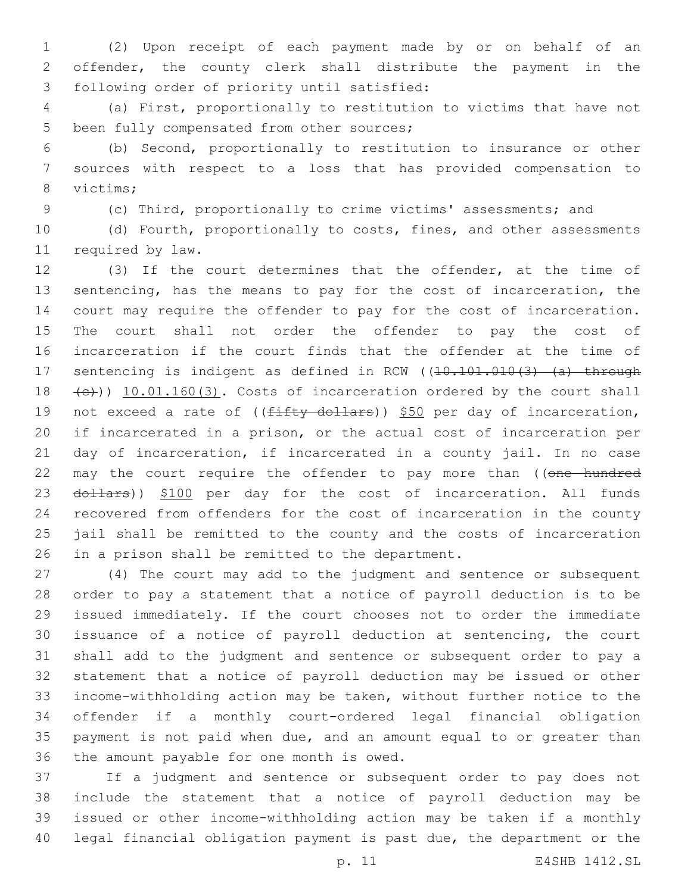(2) Upon receipt of each payment made by or on behalf of an offender, the county clerk shall distribute the payment in the 3 following order of priority until satisfied:

 (a) First, proportionally to restitution to victims that have not 5 been fully compensated from other sources;

 (b) Second, proportionally to restitution to insurance or other sources with respect to a loss that has provided compensation to 8 victims;

(c) Third, proportionally to crime victims' assessments; and

 (d) Fourth, proportionally to costs, fines, and other assessments 11 required by law.

 (3) If the court determines that the offender, at the time of sentencing, has the means to pay for the cost of incarceration, the court may require the offender to pay for the cost of incarceration. The court shall not order the offender to pay the cost of incarceration if the court finds that the offender at the time of 17 sentencing is indigent as defined in RCW ((10.101.010(3) (a) through 18 (e))) 10.01.160(3). Costs of incarceration ordered by the court shall 19 not exceed a rate of  $((fifty-dollars))$  \$50 per day of incarceration, if incarcerated in a prison, or the actual cost of incarceration per day of incarceration, if incarcerated in a county jail. In no case 22 may the court require the offender to pay more than ((one hundred 23 dollars)) \$100 per day for the cost of incarceration. All funds recovered from offenders for the cost of incarceration in the county jail shall be remitted to the county and the costs of incarceration 26 in a prison shall be remitted to the department.

 (4) The court may add to the judgment and sentence or subsequent order to pay a statement that a notice of payroll deduction is to be issued immediately. If the court chooses not to order the immediate issuance of a notice of payroll deduction at sentencing, the court shall add to the judgment and sentence or subsequent order to pay a statement that a notice of payroll deduction may be issued or other income-withholding action may be taken, without further notice to the offender if a monthly court-ordered legal financial obligation payment is not paid when due, and an amount equal to or greater than 36 the amount payable for one month is owed.

 If a judgment and sentence or subsequent order to pay does not include the statement that a notice of payroll deduction may be issued or other income-withholding action may be taken if a monthly legal financial obligation payment is past due, the department or the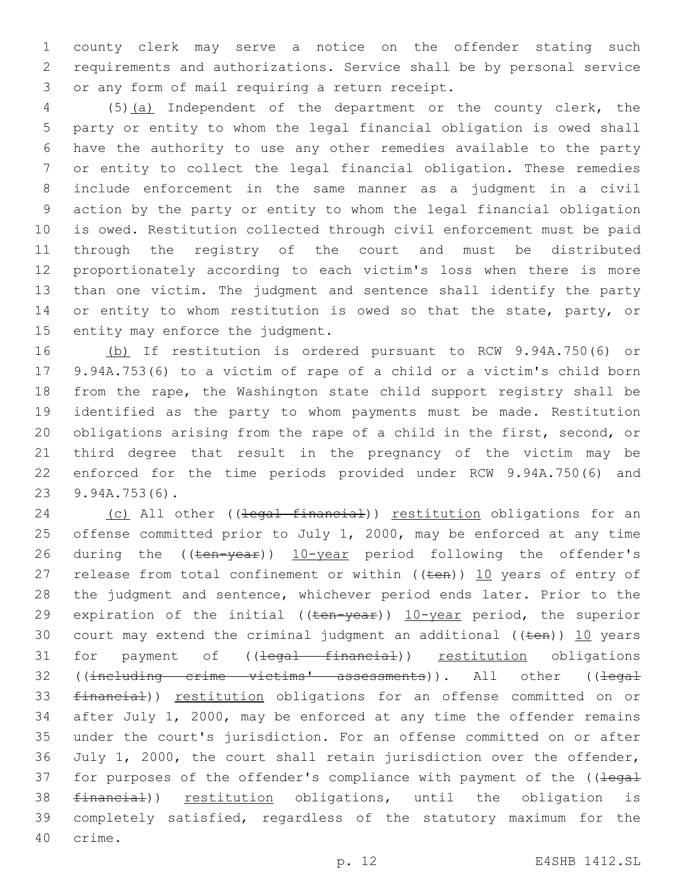county clerk may serve a notice on the offender stating such requirements and authorizations. Service shall be by personal service 3 or any form of mail requiring a return receipt.

 (5)(a) Independent of the department or the county clerk, the party or entity to whom the legal financial obligation is owed shall have the authority to use any other remedies available to the party or entity to collect the legal financial obligation. These remedies include enforcement in the same manner as a judgment in a civil action by the party or entity to whom the legal financial obligation is owed. Restitution collected through civil enforcement must be paid through the registry of the court and must be distributed proportionately according to each victim's loss when there is more than one victim. The judgment and sentence shall identify the party 14 or entity to whom restitution is owed so that the state, party, or 15 entity may enforce the judgment.

 (b) If restitution is ordered pursuant to RCW 9.94A.750(6) or 9.94A.753(6) to a victim of rape of a child or a victim's child born from the rape, the Washington state child support registry shall be identified as the party to whom payments must be made. Restitution obligations arising from the rape of a child in the first, second, or third degree that result in the pregnancy of the victim may be enforced for the time periods provided under RCW 9.94A.750(6) and 9.94A.753(6).23

24 (c) All other ((legal financial)) restitution obligations for an offense committed prior to July 1, 2000, may be enforced at any time 26 during the ((ten-year)) 10-year period following the offender's 27 release from total confinement or within  $((\text{ten}))$  10 years of entry of the judgment and sentence, whichever period ends later. Prior to the 29 expiration of the initial  $((\text{ten}-\text{year}))$  10-year period, the superior 30 court may extend the criminal judgment an additional  $((\text{ten}))$  10 years 31 for payment of ((<del>legal financial</del>)) restitution obligations 32 ((including crime victims' assessments)). All other ((legal financial)) restitution obligations for an offense committed on or after July 1, 2000, may be enforced at any time the offender remains under the court's jurisdiction. For an offense committed on or after July 1, 2000, the court shall retain jurisdiction over the offender, 37 for purposes of the offender's compliance with payment of the ((legal financial)) restitution obligations, until the obligation is completely satisfied, regardless of the statutory maximum for the 40 crime.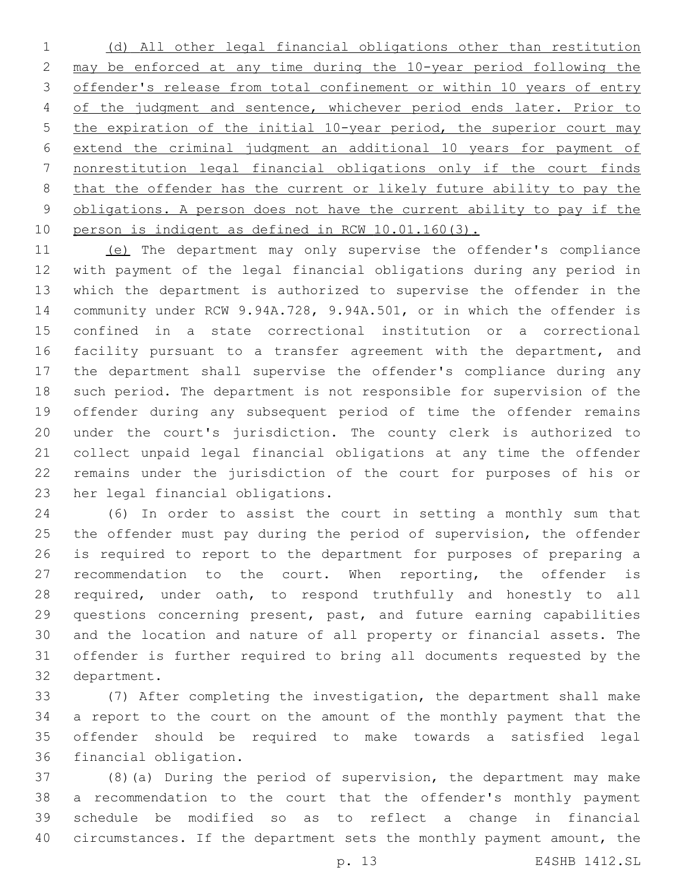(d) All other legal financial obligations other than restitution may be enforced at any time during the 10-year period following the offender's release from total confinement or within 10 years of entry 4 of the judgment and sentence, whichever period ends later. Prior to the expiration of the initial 10-year period, the superior court may extend the criminal judgment an additional 10 years for payment of nonrestitution legal financial obligations only if the court finds that the offender has the current or likely future ability to pay the obligations. A person does not have the current ability to pay if the person is indigent as defined in RCW 10.01.160(3).

 (e) The department may only supervise the offender's compliance with payment of the legal financial obligations during any period in which the department is authorized to supervise the offender in the community under RCW 9.94A.728, 9.94A.501, or in which the offender is confined in a state correctional institution or a correctional 16 facility pursuant to a transfer agreement with the department, and the department shall supervise the offender's compliance during any such period. The department is not responsible for supervision of the offender during any subsequent period of time the offender remains under the court's jurisdiction. The county clerk is authorized to collect unpaid legal financial obligations at any time the offender remains under the jurisdiction of the court for purposes of his or 23 her legal financial obligations.

 (6) In order to assist the court in setting a monthly sum that the offender must pay during the period of supervision, the offender is required to report to the department for purposes of preparing a 27 recommendation to the court. When reporting, the offender is required, under oath, to respond truthfully and honestly to all questions concerning present, past, and future earning capabilities and the location and nature of all property or financial assets. The offender is further required to bring all documents requested by the 32 department.

 (7) After completing the investigation, the department shall make a report to the court on the amount of the monthly payment that the offender should be required to make towards a satisfied legal 36 financial obligation.

 (8)(a) During the period of supervision, the department may make a recommendation to the court that the offender's monthly payment schedule be modified so as to reflect a change in financial 40 circumstances. If the department sets the monthly payment amount, the

p. 13 E4SHB 1412.SL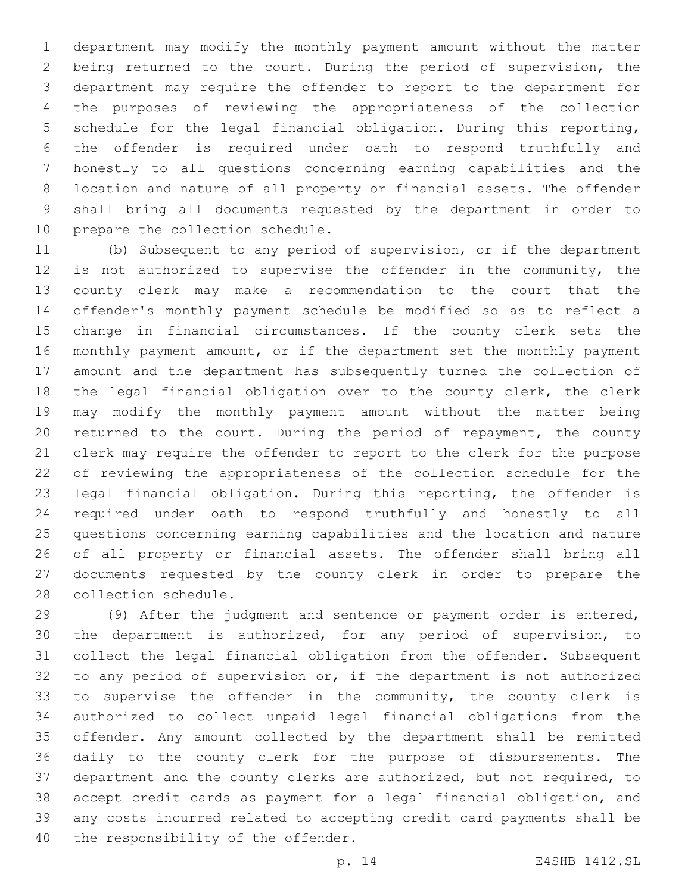department may modify the monthly payment amount without the matter being returned to the court. During the period of supervision, the department may require the offender to report to the department for the purposes of reviewing the appropriateness of the collection schedule for the legal financial obligation. During this reporting, the offender is required under oath to respond truthfully and honestly to all questions concerning earning capabilities and the location and nature of all property or financial assets. The offender shall bring all documents requested by the department in order to 10 prepare the collection schedule.

 (b) Subsequent to any period of supervision, or if the department is not authorized to supervise the offender in the community, the county clerk may make a recommendation to the court that the offender's monthly payment schedule be modified so as to reflect a change in financial circumstances. If the county clerk sets the monthly payment amount, or if the department set the monthly payment amount and the department has subsequently turned the collection of the legal financial obligation over to the county clerk, the clerk may modify the monthly payment amount without the matter being returned to the court. During the period of repayment, the county clerk may require the offender to report to the clerk for the purpose of reviewing the appropriateness of the collection schedule for the legal financial obligation. During this reporting, the offender is required under oath to respond truthfully and honestly to all questions concerning earning capabilities and the location and nature of all property or financial assets. The offender shall bring all documents requested by the county clerk in order to prepare the 28 collection schedule.

 (9) After the judgment and sentence or payment order is entered, the department is authorized, for any period of supervision, to collect the legal financial obligation from the offender. Subsequent to any period of supervision or, if the department is not authorized to supervise the offender in the community, the county clerk is authorized to collect unpaid legal financial obligations from the offender. Any amount collected by the department shall be remitted daily to the county clerk for the purpose of disbursements. The department and the county clerks are authorized, but not required, to accept credit cards as payment for a legal financial obligation, and any costs incurred related to accepting credit card payments shall be 40 the responsibility of the offender.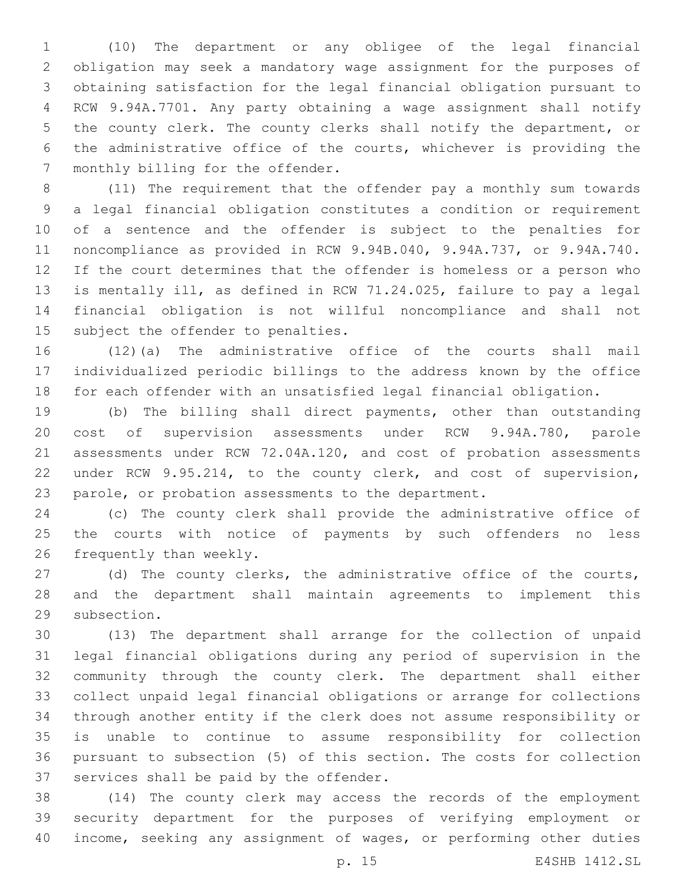(10) The department or any obligee of the legal financial obligation may seek a mandatory wage assignment for the purposes of obtaining satisfaction for the legal financial obligation pursuant to RCW 9.94A.7701. Any party obtaining a wage assignment shall notify the county clerk. The county clerks shall notify the department, or the administrative office of the courts, whichever is providing the 7 monthly billing for the offender.

 (11) The requirement that the offender pay a monthly sum towards a legal financial obligation constitutes a condition or requirement of a sentence and the offender is subject to the penalties for noncompliance as provided in RCW 9.94B.040, 9.94A.737, or 9.94A.740. If the court determines that the offender is homeless or a person who is mentally ill, as defined in RCW 71.24.025, failure to pay a legal financial obligation is not willful noncompliance and shall not 15 subject the offender to penalties.

 (12)(a) The administrative office of the courts shall mail individualized periodic billings to the address known by the office for each offender with an unsatisfied legal financial obligation.

 (b) The billing shall direct payments, other than outstanding cost of supervision assessments under RCW 9.94A.780, parole assessments under RCW 72.04A.120, and cost of probation assessments under RCW 9.95.214, to the county clerk, and cost of supervision, parole, or probation assessments to the department.

 (c) The county clerk shall provide the administrative office of the courts with notice of payments by such offenders no less 26 frequently than weekly.

 (d) The county clerks, the administrative office of the courts, and the department shall maintain agreements to implement this 29 subsection.

 (13) The department shall arrange for the collection of unpaid legal financial obligations during any period of supervision in the community through the county clerk. The department shall either collect unpaid legal financial obligations or arrange for collections through another entity if the clerk does not assume responsibility or is unable to continue to assume responsibility for collection pursuant to subsection (5) of this section. The costs for collection 37 services shall be paid by the offender.

 (14) The county clerk may access the records of the employment security department for the purposes of verifying employment or income, seeking any assignment of wages, or performing other duties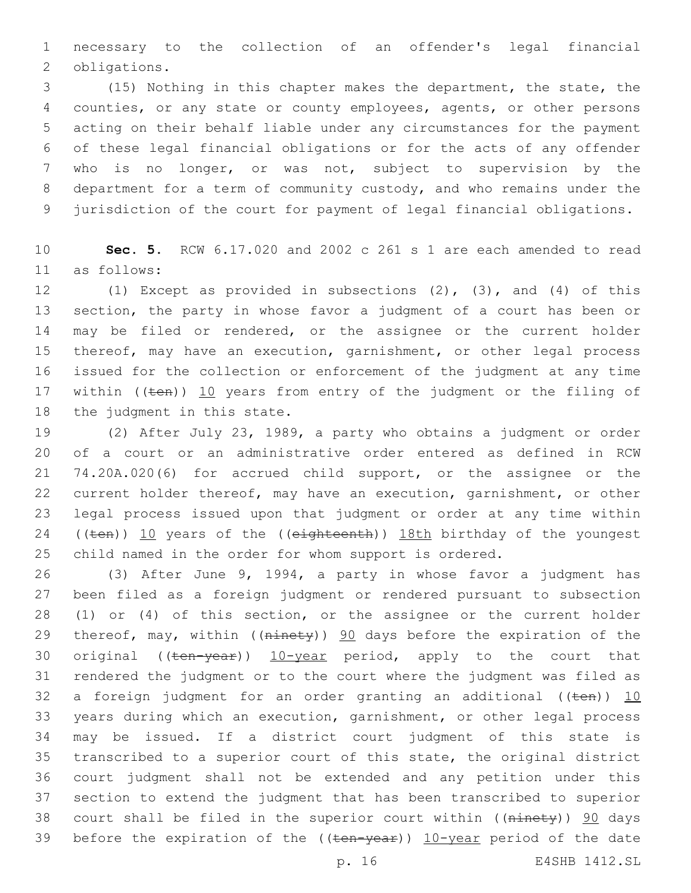necessary to the collection of an offender's legal financial 2 obligations.

 (15) Nothing in this chapter makes the department, the state, the counties, or any state or county employees, agents, or other persons acting on their behalf liable under any circumstances for the payment of these legal financial obligations or for the acts of any offender who is no longer, or was not, subject to supervision by the department for a term of community custody, and who remains under the jurisdiction of the court for payment of legal financial obligations.

 **Sec. 5.** RCW 6.17.020 and 2002 c 261 s 1 are each amended to read as follows:11

 (1) Except as provided in subsections (2), (3), and (4) of this section, the party in whose favor a judgment of a court has been or may be filed or rendered, or the assignee or the current holder thereof, may have an execution, garnishment, or other legal process issued for the collection or enforcement of the judgment at any time 17 within  $((ten))$  10 years from entry of the judgment or the filing of 18 the judgment in this state.

 (2) After July 23, 1989, a party who obtains a judgment or order of a court or an administrative order entered as defined in RCW 74.20A.020(6) for accrued child support, or the assignee or the current holder thereof, may have an execution, garnishment, or other legal process issued upon that judgment or order at any time within 24 ((ten)) 10 years of the ((eighteenth)) 18th birthday of the youngest child named in the order for whom support is ordered.

 (3) After June 9, 1994, a party in whose favor a judgment has been filed as a foreign judgment or rendered pursuant to subsection (1) or (4) of this section, or the assignee or the current holder 29 thereof, may, within ((ninety)) 90 days before the expiration of the 30 original ((ten-year)) 10-year period, apply to the court that rendered the judgment or to the court where the judgment was filed as 32 a foreign judgment for an order granting an additional  $((\text{ten}))$  10 years during which an execution, garnishment, or other legal process may be issued. If a district court judgment of this state is transcribed to a superior court of this state, the original district court judgment shall not be extended and any petition under this section to extend the judgment that has been transcribed to superior 38 court shall be filed in the superior court within ((ninety)) 90 days 39 before the expiration of the  $((\text{ten-year}))$   $10$ -year period of the date

p. 16 E4SHB 1412.SL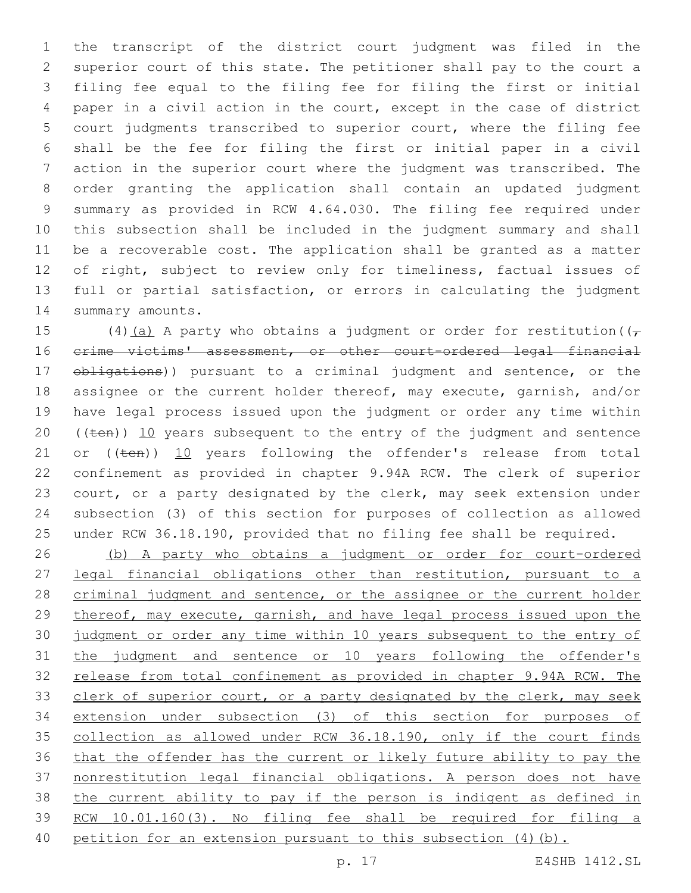the transcript of the district court judgment was filed in the superior court of this state. The petitioner shall pay to the court a filing fee equal to the filing fee for filing the first or initial paper in a civil action in the court, except in the case of district court judgments transcribed to superior court, where the filing fee shall be the fee for filing the first or initial paper in a civil action in the superior court where the judgment was transcribed. The order granting the application shall contain an updated judgment summary as provided in RCW 4.64.030. The filing fee required under this subsection shall be included in the judgment summary and shall be a recoverable cost. The application shall be granted as a matter of right, subject to review only for timeliness, factual issues of full or partial satisfaction, or errors in calculating the judgment 14 summary amounts.

15 (4)(a) A party who obtains a judgment or order for restitution( $(\tau$ 16 crime victims' assessment, or other court-ordered legal financial  $\theta$ bligations)) pursuant to a criminal judgment and sentence, or the assignee or the current holder thereof, may execute, garnish, and/or have legal process issued upon the judgment or order any time within  $((\text{ten}))$  10 years subsequent to the entry of the judgment and sentence 21 or ((ten)) 10 years following the offender's release from total confinement as provided in chapter 9.94A RCW. The clerk of superior court, or a party designated by the clerk, may seek extension under subsection (3) of this section for purposes of collection as allowed under RCW 36.18.190, provided that no filing fee shall be required.

 (b) A party who obtains a judgment or order for court-ordered legal financial obligations other than restitution, pursuant to a 28 criminal judgment and sentence, or the assignee or the current holder thereof, may execute, garnish, and have legal process issued upon the judgment or order any time within 10 years subsequent to the entry of the judgment and sentence or 10 years following the offender's release from total confinement as provided in chapter 9.94A RCW. The 33 clerk of superior court, or a party designated by the clerk, may seek extension under subsection (3) of this section for purposes of collection as allowed under RCW 36.18.190, only if the court finds that the offender has the current or likely future ability to pay the nonrestitution legal financial obligations. A person does not have 38 the current ability to pay if the person is indigent as defined in RCW 10.01.160(3). No filing fee shall be required for filing a 40 petition for an extension pursuant to this subsection (4)(b).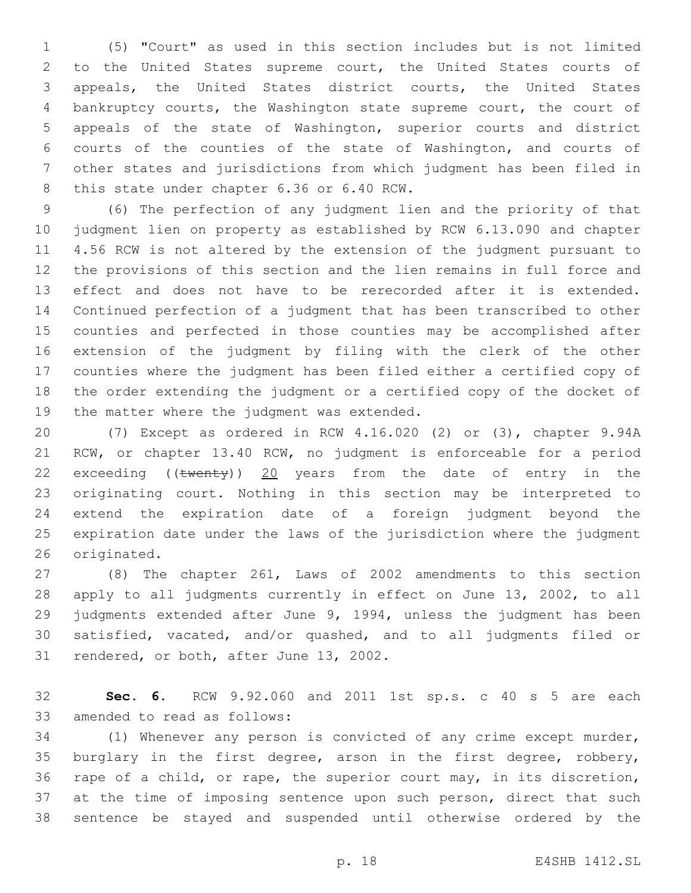(5) "Court" as used in this section includes but is not limited to the United States supreme court, the United States courts of appeals, the United States district courts, the United States bankruptcy courts, the Washington state supreme court, the court of appeals of the state of Washington, superior courts and district courts of the counties of the state of Washington, and courts of other states and jurisdictions from which judgment has been filed in 8 this state under chapter 6.36 or 6.40 RCW.

 (6) The perfection of any judgment lien and the priority of that judgment lien on property as established by RCW 6.13.090 and chapter 4.56 RCW is not altered by the extension of the judgment pursuant to the provisions of this section and the lien remains in full force and effect and does not have to be rerecorded after it is extended. Continued perfection of a judgment that has been transcribed to other counties and perfected in those counties may be accomplished after extension of the judgment by filing with the clerk of the other counties where the judgment has been filed either a certified copy of the order extending the judgment or a certified copy of the docket of 19 the matter where the judgment was extended.

 (7) Except as ordered in RCW 4.16.020 (2) or (3), chapter 9.94A RCW, or chapter 13.40 RCW, no judgment is enforceable for a period 22 exceeding ((twenty)) 20 years from the date of entry in the originating court. Nothing in this section may be interpreted to extend the expiration date of a foreign judgment beyond the expiration date under the laws of the jurisdiction where the judgment 26 originated.

 (8) The chapter 261, Laws of 2002 amendments to this section apply to all judgments currently in effect on June 13, 2002, to all judgments extended after June 9, 1994, unless the judgment has been satisfied, vacated, and/or quashed, and to all judgments filed or 31 rendered, or both, after June 13, 2002.

 **Sec. 6.** RCW 9.92.060 and 2011 1st sp.s. c 40 s 5 are each 33 amended to read as follows:

 (1) Whenever any person is convicted of any crime except murder, burglary in the first degree, arson in the first degree, robbery, rape of a child, or rape, the superior court may, in its discretion, at the time of imposing sentence upon such person, direct that such sentence be stayed and suspended until otherwise ordered by the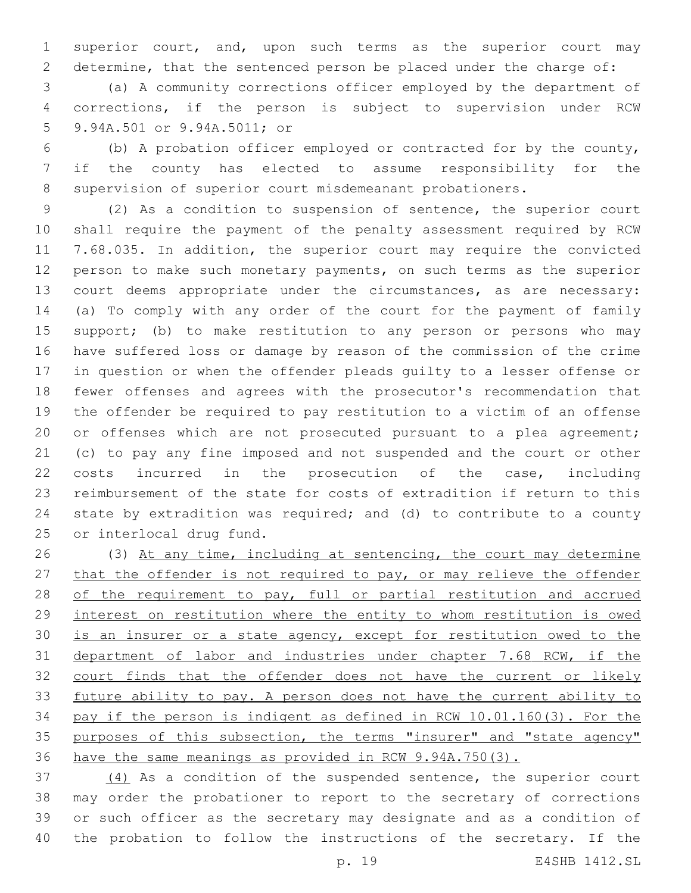superior court, and, upon such terms as the superior court may determine, that the sentenced person be placed under the charge of:

 (a) A community corrections officer employed by the department of corrections, if the person is subject to supervision under RCW 9.94A.501 or 9.94A.5011; or5

 (b) A probation officer employed or contracted for by the county, if the county has elected to assume responsibility for the supervision of superior court misdemeanant probationers.

 (2) As a condition to suspension of sentence, the superior court shall require the payment of the penalty assessment required by RCW 7.68.035. In addition, the superior court may require the convicted person to make such monetary payments, on such terms as the superior court deems appropriate under the circumstances, as are necessary: (a) To comply with any order of the court for the payment of family 15 support; (b) to make restitution to any person or persons who may have suffered loss or damage by reason of the commission of the crime in question or when the offender pleads guilty to a lesser offense or fewer offenses and agrees with the prosecutor's recommendation that the offender be required to pay restitution to a victim of an offense 20 or offenses which are not prosecuted pursuant to a plea agreement; (c) to pay any fine imposed and not suspended and the court or other costs incurred in the prosecution of the case, including reimbursement of the state for costs of extradition if return to this state by extradition was required; and (d) to contribute to a county 25 or interlocal drug fund.

 (3) At any time, including at sentencing, the court may determine 27 that the offender is not required to pay, or may relieve the offender 28 of the requirement to pay, full or partial restitution and accrued interest on restitution where the entity to whom restitution is owed 30 is an insurer or a state agency, except for restitution owed to the department of labor and industries under chapter 7.68 RCW, if the 32 court finds that the offender does not have the current or likely future ability to pay. A person does not have the current ability to pay if the person is indigent as defined in RCW 10.01.160(3). For the purposes of this subsection, the terms "insurer" and "state agency" have the same meanings as provided in RCW 9.94A.750(3).

 (4) As a condition of the suspended sentence, the superior court may order the probationer to report to the secretary of corrections or such officer as the secretary may designate and as a condition of the probation to follow the instructions of the secretary. If the

p. 19 E4SHB 1412.SL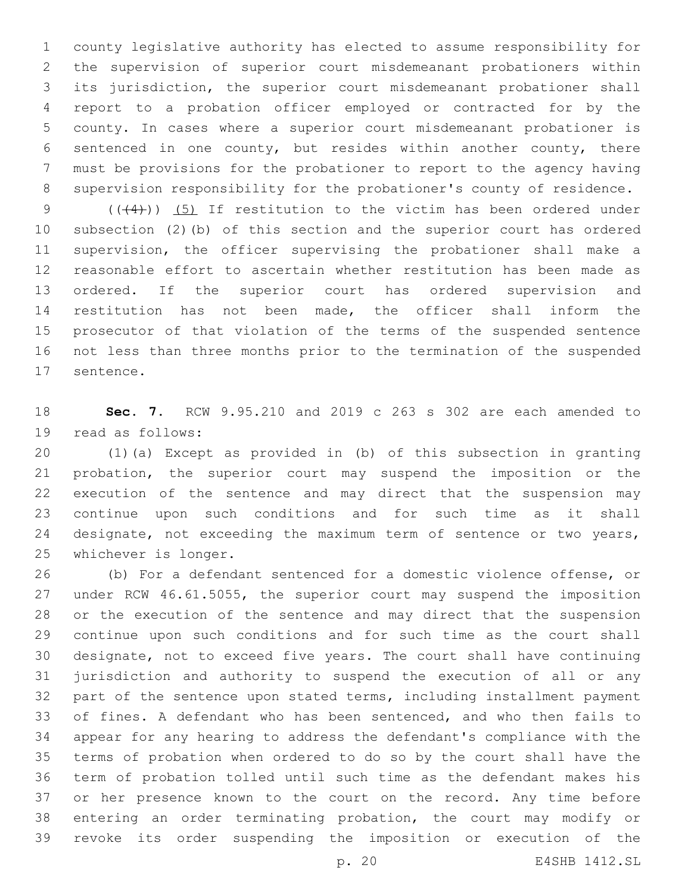county legislative authority has elected to assume responsibility for the supervision of superior court misdemeanant probationers within its jurisdiction, the superior court misdemeanant probationer shall report to a probation officer employed or contracted for by the county. In cases where a superior court misdemeanant probationer is sentenced in one county, but resides within another county, there must be provisions for the probationer to report to the agency having supervision responsibility for the probationer's county of residence.

 $((+4))$   $(5)$  If restitution to the victim has been ordered under subsection (2)(b) of this section and the superior court has ordered supervision, the officer supervising the probationer shall make a reasonable effort to ascertain whether restitution has been made as ordered. If the superior court has ordered supervision and restitution has not been made, the officer shall inform the prosecutor of that violation of the terms of the suspended sentence not less than three months prior to the termination of the suspended 17 sentence.

 **Sec. 7.** RCW 9.95.210 and 2019 c 263 s 302 are each amended to 19 read as follows:

 (1)(a) Except as provided in (b) of this subsection in granting probation, the superior court may suspend the imposition or the execution of the sentence and may direct that the suspension may continue upon such conditions and for such time as it shall 24 designate, not exceeding the maximum term of sentence or two years, 25 whichever is longer.

 (b) For a defendant sentenced for a domestic violence offense, or under RCW 46.61.5055, the superior court may suspend the imposition or the execution of the sentence and may direct that the suspension continue upon such conditions and for such time as the court shall designate, not to exceed five years. The court shall have continuing jurisdiction and authority to suspend the execution of all or any part of the sentence upon stated terms, including installment payment of fines. A defendant who has been sentenced, and who then fails to appear for any hearing to address the defendant's compliance with the terms of probation when ordered to do so by the court shall have the term of probation tolled until such time as the defendant makes his or her presence known to the court on the record. Any time before entering an order terminating probation, the court may modify or revoke its order suspending the imposition or execution of the

p. 20 E4SHB 1412.SL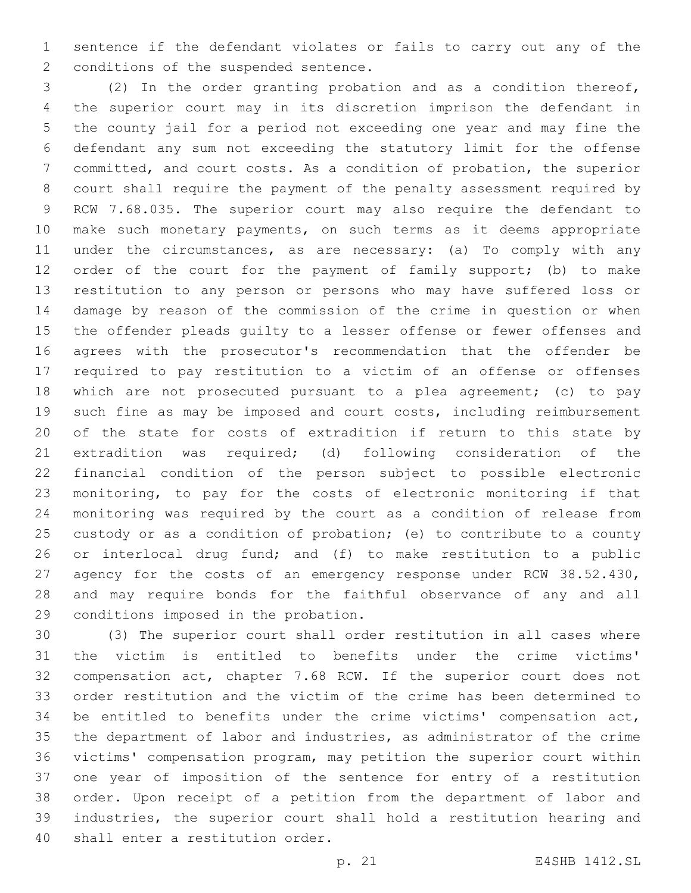sentence if the defendant violates or fails to carry out any of the 2 conditions of the suspended sentence.

 (2) In the order granting probation and as a condition thereof, the superior court may in its discretion imprison the defendant in the county jail for a period not exceeding one year and may fine the defendant any sum not exceeding the statutory limit for the offense committed, and court costs. As a condition of probation, the superior court shall require the payment of the penalty assessment required by RCW 7.68.035. The superior court may also require the defendant to make such monetary payments, on such terms as it deems appropriate under the circumstances, as are necessary: (a) To comply with any 12 order of the court for the payment of family support; (b) to make restitution to any person or persons who may have suffered loss or damage by reason of the commission of the crime in question or when the offender pleads guilty to a lesser offense or fewer offenses and agrees with the prosecutor's recommendation that the offender be required to pay restitution to a victim of an offense or offenses which are not prosecuted pursuant to a plea agreement; (c) to pay such fine as may be imposed and court costs, including reimbursement of the state for costs of extradition if return to this state by extradition was required; (d) following consideration of the financial condition of the person subject to possible electronic monitoring, to pay for the costs of electronic monitoring if that monitoring was required by the court as a condition of release from custody or as a condition of probation; (e) to contribute to a county or interlocal drug fund; and (f) to make restitution to a public 27 agency for the costs of an emergency response under RCW 38.52.430, and may require bonds for the faithful observance of any and all 29 conditions imposed in the probation.

 (3) The superior court shall order restitution in all cases where the victim is entitled to benefits under the crime victims' compensation act, chapter 7.68 RCW. If the superior court does not order restitution and the victim of the crime has been determined to be entitled to benefits under the crime victims' compensation act, the department of labor and industries, as administrator of the crime victims' compensation program, may petition the superior court within one year of imposition of the sentence for entry of a restitution order. Upon receipt of a petition from the department of labor and industries, the superior court shall hold a restitution hearing and 40 shall enter a restitution order.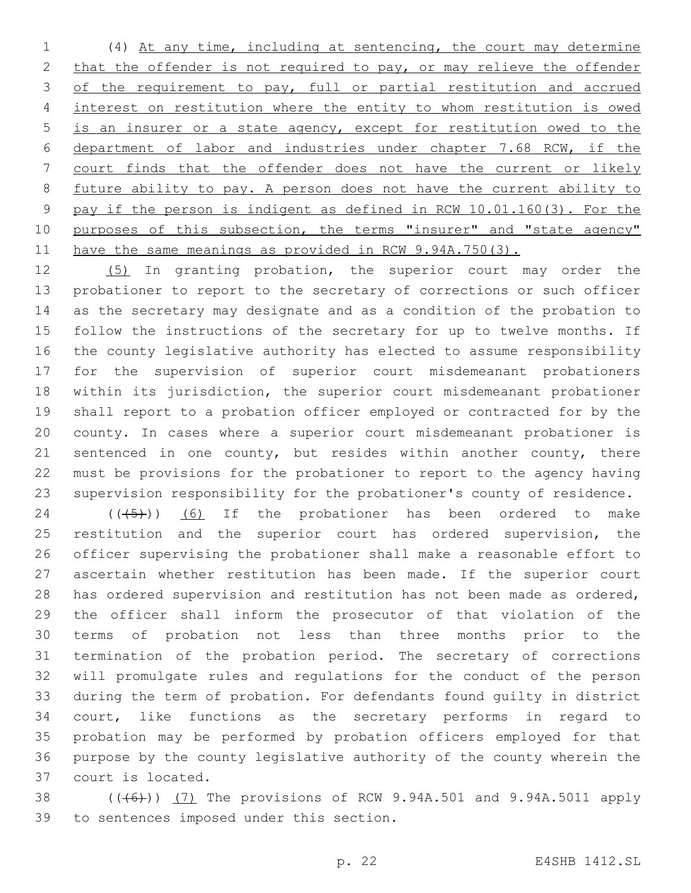(4) At any time, including at sentencing, the court may determine 2 that the offender is not required to pay, or may relieve the offender 3 of the requirement to pay, full or partial restitution and accrued interest on restitution where the entity to whom restitution is owed is an insurer or a state agency, except for restitution owed to the department of labor and industries under chapter 7.68 RCW, if the court finds that the offender does not have the current or likely future ability to pay. A person does not have the current ability to pay if the person is indigent as defined in RCW 10.01.160(3). For the 10 purposes of this subsection, the terms "insurer" and "state agency" 11 have the same meanings as provided in RCW 9.94A.750(3).

 (5) In granting probation, the superior court may order the probationer to report to the secretary of corrections or such officer as the secretary may designate and as a condition of the probation to follow the instructions of the secretary for up to twelve months. If the county legislative authority has elected to assume responsibility for the supervision of superior court misdemeanant probationers within its jurisdiction, the superior court misdemeanant probationer shall report to a probation officer employed or contracted for by the county. In cases where a superior court misdemeanant probationer is 21 sentenced in one county, but resides within another county, there must be provisions for the probationer to report to the agency having supervision responsibility for the probationer's county of residence.

 ( $(\overline{(+5+})$ )  $\overline{(-6)}$  If the probationer has been ordered to make 25 restitution and the superior court has ordered supervision, the officer supervising the probationer shall make a reasonable effort to ascertain whether restitution has been made. If the superior court has ordered supervision and restitution has not been made as ordered, the officer shall inform the prosecutor of that violation of the terms of probation not less than three months prior to the termination of the probation period. The secretary of corrections will promulgate rules and regulations for the conduct of the person during the term of probation. For defendants found guilty in district court, like functions as the secretary performs in regard to probation may be performed by probation officers employed for that purpose by the county legislative authority of the county wherein the 37 court is located.

38 (((6)) (7) The provisions of RCW 9.94A.501 and 9.94A.5011 apply 39 to sentences imposed under this section.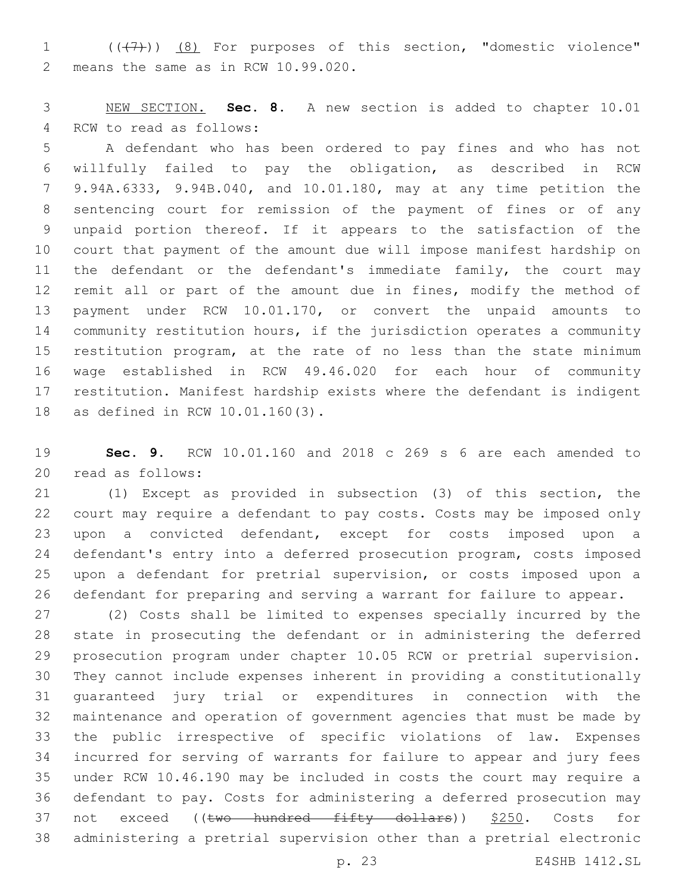1 (( $(7)$ )) (8) For purposes of this section, "domestic violence" 2 means the same as in RCW 10.99.020.

 NEW SECTION. **Sec. 8.** A new section is added to chapter 10.01 4 RCW to read as follows:

 A defendant who has been ordered to pay fines and who has not willfully failed to pay the obligation, as described in RCW 9.94A.6333, 9.94B.040, and 10.01.180, may at any time petition the sentencing court for remission of the payment of fines or of any unpaid portion thereof. If it appears to the satisfaction of the court that payment of the amount due will impose manifest hardship on the defendant or the defendant's immediate family, the court may 12 remit all or part of the amount due in fines, modify the method of payment under RCW 10.01.170, or convert the unpaid amounts to community restitution hours, if the jurisdiction operates a community restitution program, at the rate of no less than the state minimum wage established in RCW 49.46.020 for each hour of community restitution. Manifest hardship exists where the defendant is indigent 18 as defined in RCW 10.01.160(3).

 **Sec. 9.** RCW 10.01.160 and 2018 c 269 s 6 are each amended to read as follows:20

 (1) Except as provided in subsection (3) of this section, the court may require a defendant to pay costs. Costs may be imposed only upon a convicted defendant, except for costs imposed upon a defendant's entry into a deferred prosecution program, costs imposed upon a defendant for pretrial supervision, or costs imposed upon a defendant for preparing and serving a warrant for failure to appear.

 (2) Costs shall be limited to expenses specially incurred by the state in prosecuting the defendant or in administering the deferred prosecution program under chapter 10.05 RCW or pretrial supervision. They cannot include expenses inherent in providing a constitutionally guaranteed jury trial or expenditures in connection with the maintenance and operation of government agencies that must be made by the public irrespective of specific violations of law. Expenses incurred for serving of warrants for failure to appear and jury fees under RCW 10.46.190 may be included in costs the court may require a defendant to pay. Costs for administering a deferred prosecution may 37 not exceed ((two hundred fifty dollars)) \$250. Costs for administering a pretrial supervision other than a pretrial electronic

p. 23 E4SHB 1412.SL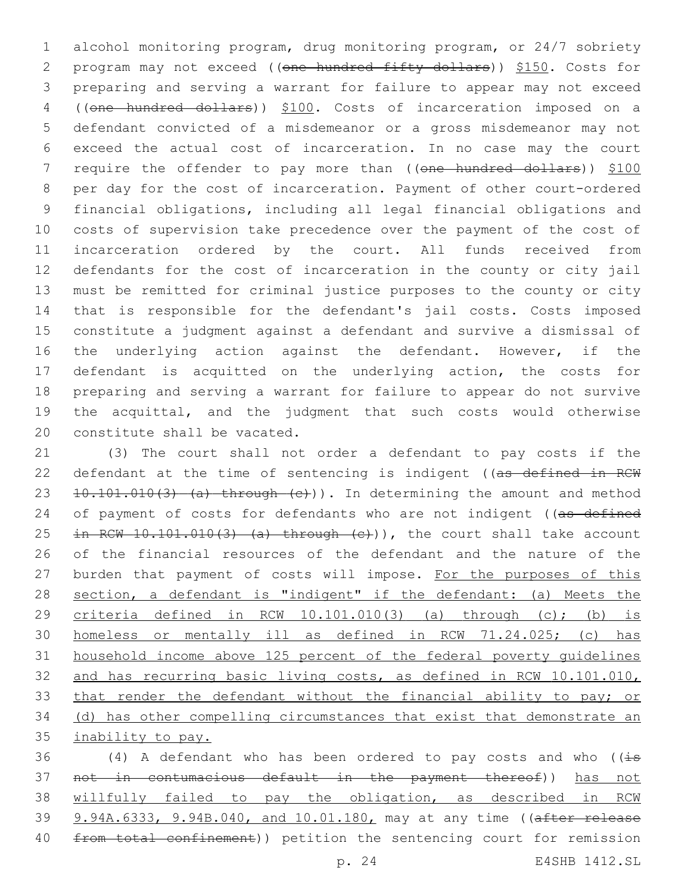alcohol monitoring program, drug monitoring program, or 24/7 sobriety 2 program may not exceed ((one hundred fifty dollars)) \$150. Costs for preparing and serving a warrant for failure to appear may not exceed ((one hundred dollars)) \$100. Costs of incarceration imposed on a defendant convicted of a misdemeanor or a gross misdemeanor may not exceed the actual cost of incarceration. In no case may the court 7 require the offender to pay more than ((one hundred dollars)) \$100 per day for the cost of incarceration. Payment of other court-ordered financial obligations, including all legal financial obligations and costs of supervision take precedence over the payment of the cost of incarceration ordered by the court. All funds received from defendants for the cost of incarceration in the county or city jail must be remitted for criminal justice purposes to the county or city that is responsible for the defendant's jail costs. Costs imposed constitute a judgment against a defendant and survive a dismissal of 16 the underlying action against the defendant. However, if the defendant is acquitted on the underlying action, the costs for preparing and serving a warrant for failure to appear do not survive the acquittal, and the judgment that such costs would otherwise 20 constitute shall be vacated.

 (3) The court shall not order a defendant to pay costs if the 22 defendant at the time of sentencing is indigent ((as defined in RCW 23  $10.101.010(3)$  (a) through (c))). In determining the amount and method 24 of payment of costs for defendants who are not indigent ((as defined 25 in RCW  $10.101.010(3)$  (a) through  $(c)$ )), the court shall take account of the financial resources of the defendant and the nature of the 27 burden that payment of costs will impose. For the purposes of this section, a defendant is "indigent" if the defendant: (a) Meets the 29 criteria defined in RCW  $10.101.010(3)$  (a) through  $(c)$ ; (b) is homeless or mentally ill as defined in RCW 71.24.025; (c) has household income above 125 percent of the federal poverty guidelines and has recurring basic living costs, as defined in RCW 10.101.010, 33 that render the defendant without the financial ability to pay; or 34 (d) has other compelling circumstances that exist that demonstrate an inability to pay.

36 (4) A defendant who has been ordered to pay costs and who ( $\overline{4s}$  not in contumacious default in the payment thereof)) has not willfully failed to pay the obligation, as described in RCW 39 9.94A.6333, 9.94B.040, and 10.01.180, may at any time ((after release 40 from total confinement)) petition the sentencing court for remission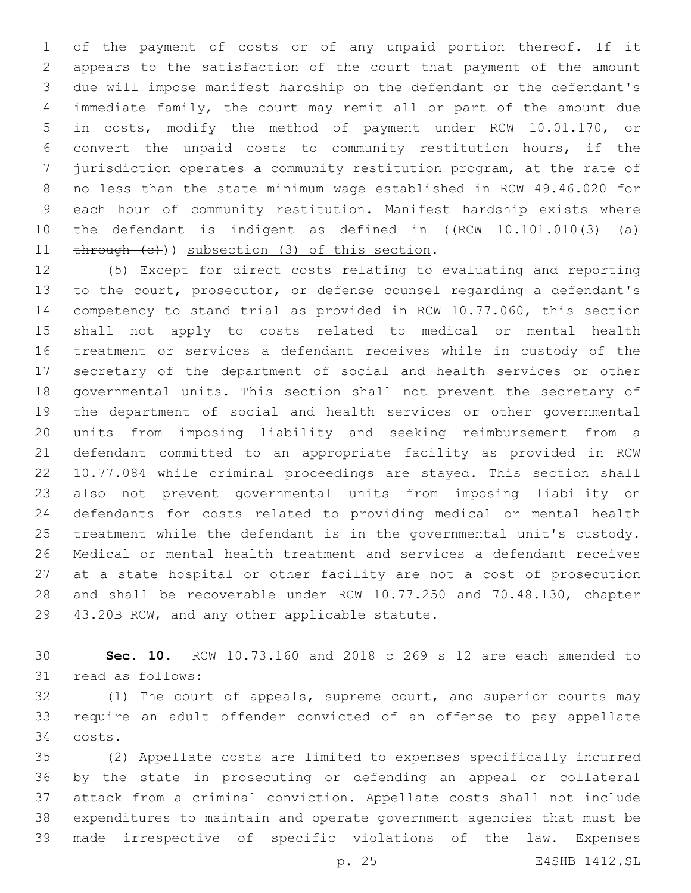of the payment of costs or of any unpaid portion thereof. If it appears to the satisfaction of the court that payment of the amount due will impose manifest hardship on the defendant or the defendant's immediate family, the court may remit all or part of the amount due in costs, modify the method of payment under RCW 10.01.170, or convert the unpaid costs to community restitution hours, if the jurisdiction operates a community restitution program, at the rate of no less than the state minimum wage established in RCW 49.46.020 for each hour of community restitution. Manifest hardship exists where 10 the defendant is indigent as defined in ((RCW 10.101.010(3) (a) 11 through (c))) subsection (3) of this section.

 (5) Except for direct costs relating to evaluating and reporting to the court, prosecutor, or defense counsel regarding a defendant's competency to stand trial as provided in RCW 10.77.060, this section shall not apply to costs related to medical or mental health treatment or services a defendant receives while in custody of the secretary of the department of social and health services or other governmental units. This section shall not prevent the secretary of the department of social and health services or other governmental units from imposing liability and seeking reimbursement from a defendant committed to an appropriate facility as provided in RCW 10.77.084 while criminal proceedings are stayed. This section shall also not prevent governmental units from imposing liability on defendants for costs related to providing medical or mental health treatment while the defendant is in the governmental unit's custody. Medical or mental health treatment and services a defendant receives at a state hospital or other facility are not a cost of prosecution and shall be recoverable under RCW 10.77.250 and 70.48.130, chapter 29 43.20B RCW, and any other applicable statute.

 **Sec. 10.** RCW 10.73.160 and 2018 c 269 s 12 are each amended to 31 read as follows:

 (1) The court of appeals, supreme court, and superior courts may require an adult offender convicted of an offense to pay appellate costs.34

 (2) Appellate costs are limited to expenses specifically incurred by the state in prosecuting or defending an appeal or collateral attack from a criminal conviction. Appellate costs shall not include expenditures to maintain and operate government agencies that must be made irrespective of specific violations of the law. Expenses

p. 25 E4SHB 1412.SL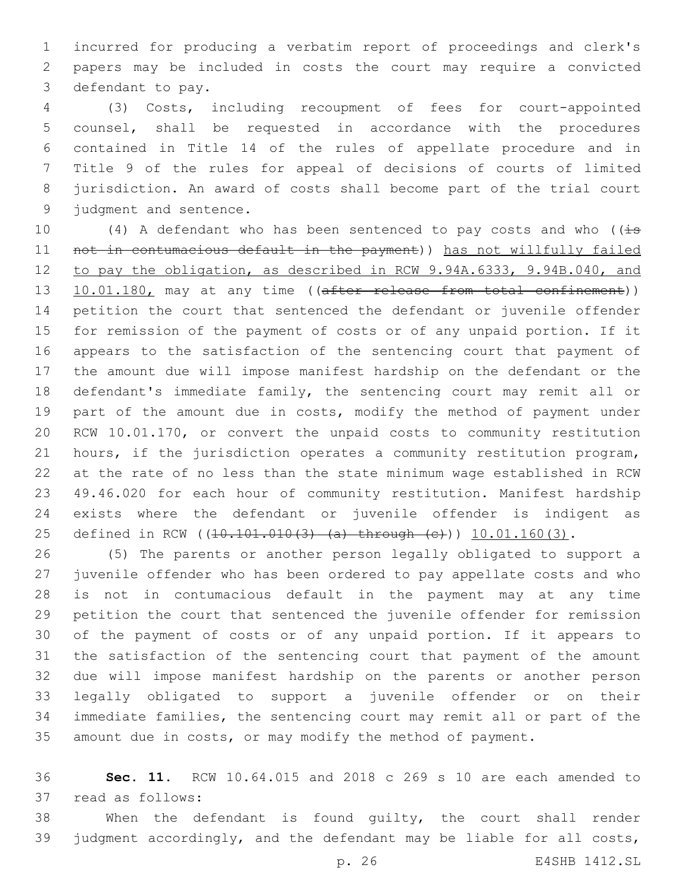incurred for producing a verbatim report of proceedings and clerk's papers may be included in costs the court may require a convicted 3 defendant to pay.

 (3) Costs, including recoupment of fees for court-appointed counsel, shall be requested in accordance with the procedures contained in Title 14 of the rules of appellate procedure and in Title 9 of the rules for appeal of decisions of courts of limited jurisdiction. An award of costs shall become part of the trial court 9 judgment and sentence.

10 (4) A defendant who has been sentenced to pay costs and who ( $\overline{4s}$  not in contumacious default in the payment)) has not willfully failed to pay the obligation, as described in RCW 9.94A.6333, 9.94B.040, and 13 10.01.180, may at any time ((after release from total confinement)) petition the court that sentenced the defendant or juvenile offender for remission of the payment of costs or of any unpaid portion. If it appears to the satisfaction of the sentencing court that payment of the amount due will impose manifest hardship on the defendant or the defendant's immediate family, the sentencing court may remit all or 19 part of the amount due in costs, modify the method of payment under RCW 10.01.170, or convert the unpaid costs to community restitution hours, if the jurisdiction operates a community restitution program, at the rate of no less than the state minimum wage established in RCW 49.46.020 for each hour of community restitution. Manifest hardship exists where the defendant or juvenile offender is indigent as 25 defined in RCW ((10.101.010(3) (a) through (c))) 10.01.160(3).

 (5) The parents or another person legally obligated to support a juvenile offender who has been ordered to pay appellate costs and who is not in contumacious default in the payment may at any time petition the court that sentenced the juvenile offender for remission of the payment of costs or of any unpaid portion. If it appears to the satisfaction of the sentencing court that payment of the amount due will impose manifest hardship on the parents or another person legally obligated to support a juvenile offender or on their immediate families, the sentencing court may remit all or part of the amount due in costs, or may modify the method of payment.

 **Sec. 11.** RCW 10.64.015 and 2018 c 269 s 10 are each amended to 37 read as follows:

 When the defendant is found guilty, the court shall render judgment accordingly, and the defendant may be liable for all costs,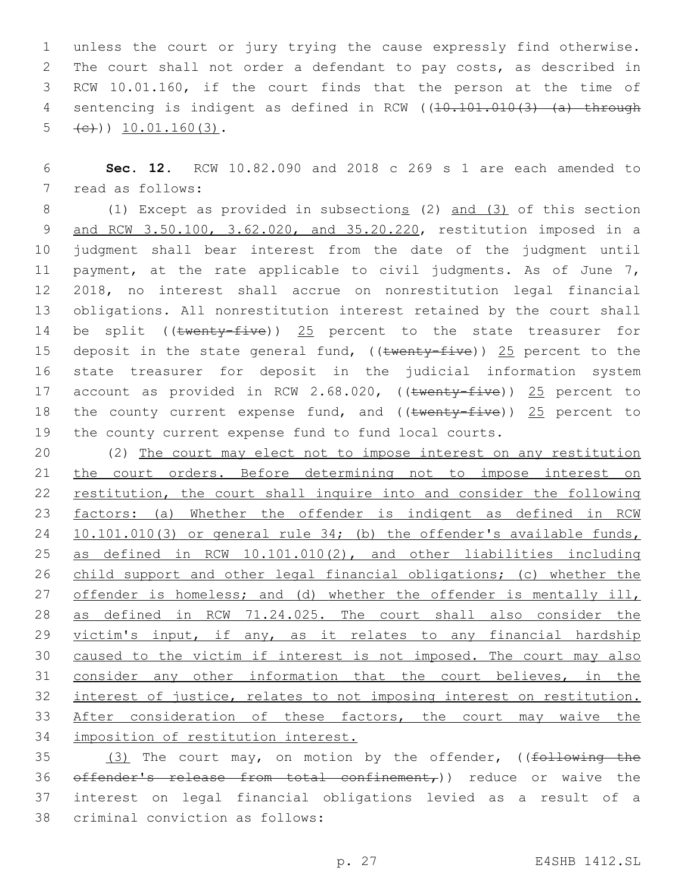1 unless the court or jury trying the cause expressly find otherwise. 2 The court shall not order a defendant to pay costs, as described in 3 RCW 10.01.160, if the court finds that the person at the time of 4 sentencing is indigent as defined in RCW ((10.101.010(3) (a) through  $\leftarrow$  (c))) 10.01.160(3).

6 **Sec. 12.** RCW 10.82.090 and 2018 c 269 s 1 are each amended to 7 read as follows:

8 (1) Except as provided in subsections (2) and (3) of this section 9 and RCW 3.50.100, 3.62.020, and 35.20.220, restitution imposed in a 10 judgment shall bear interest from the date of the judgment until 11 payment, at the rate applicable to civil judgments. As of June 7, 12 2018, no interest shall accrue on nonrestitution legal financial 13 obligations. All nonrestitution interest retained by the court shall 14 be split ((twenty-five)) 25 percent to the state treasurer for 15 deposit in the state general fund, (( $t$ wenty-five)) 25 percent to the 16 state treasurer for deposit in the judicial information system 17 account as provided in RCW 2.68.020, ((twenty-five)) 25 percent to 18 the county current expense fund, and (( $t$ wenty-five)) 25 percent to 19 the county current expense fund to fund local courts.

20 (2) The court may elect not to impose interest on any restitution 21 the court orders. Before determining not to impose interest on 22 restitution, the court shall inquire into and consider the following 23 factors: (a) Whether the offender is indigent as defined in RCW 24 10.101.010(3) or general rule 34; (b) the offender's available funds, 25 as defined in RCW 10.101.010(2), and other liabilities including 26 child support and other legal financial obligations; (c) whether the 27 offender is homeless; and (d) whether the offender is mentally ill, 28 as defined in RCW 71.24.025. The court shall also consider the 29 victim's input, if any, as it relates to any financial hardship 30 caused to the victim if interest is not imposed. The court may also 31 consider any other information that the court believes, in the 32 interest of justice, relates to not imposing interest on restitution. 33 After consideration of these factors, the court may waive the 34 imposition of restitution interest.

35 (3) The court may, on motion by the offender, ((following the 36  $\sigma$  of fender's release from total confinement,)) reduce or waive the 37 interest on legal financial obligations levied as a result of a 38 criminal conviction as follows: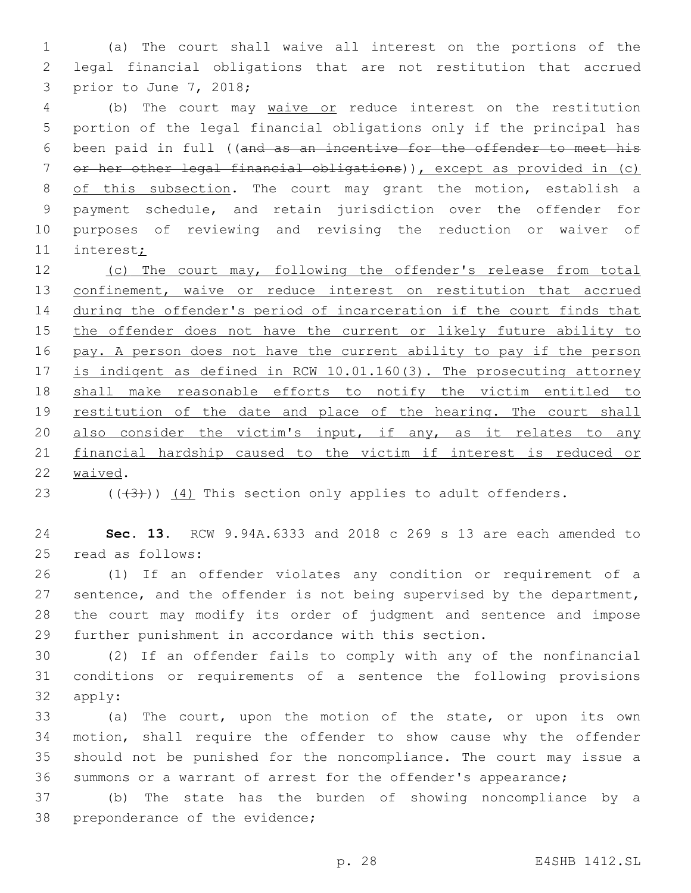(a) The court shall waive all interest on the portions of the legal financial obligations that are not restitution that accrued 3 prior to June 7, 2018;

 (b) The court may waive or reduce interest on the restitution portion of the legal financial obligations only if the principal has been paid in full ((and as an incentive for the offender to meet his or her other legal financial obligations)), except as provided in (c) 8 of this subsection. The court may grant the motion, establish a payment schedule, and retain jurisdiction over the offender for purposes of reviewing and revising the reduction or waiver of interest;

 (c) The court may, following the offender's release from total 13 confinement, waive or reduce interest on restitution that accrued during the offender's period of incarceration if the court finds that 15 the offender does not have the current or likely future ability to pay. A person does not have the current ability to pay if the person is indigent as defined in RCW 10.01.160(3). The prosecuting attorney shall make reasonable efforts to notify the victim entitled to 19 restitution of the date and place of the hearing. The court shall 20 also consider the victim's input, if any, as it relates to any financial hardship caused to the victim if interest is reduced or 22 waived.

23  $((+3+))$   $(4)$  This section only applies to adult offenders.

 **Sec. 13.** RCW 9.94A.6333 and 2018 c 269 s 13 are each amended to 25 read as follows:

 (1) If an offender violates any condition or requirement of a 27 sentence, and the offender is not being supervised by the department, the court may modify its order of judgment and sentence and impose further punishment in accordance with this section.

 (2) If an offender fails to comply with any of the nonfinancial conditions or requirements of a sentence the following provisions 32 apply:

 (a) The court, upon the motion of the state, or upon its own motion, shall require the offender to show cause why the offender should not be punished for the noncompliance. The court may issue a summons or a warrant of arrest for the offender's appearance;

 (b) The state has the burden of showing noncompliance by a 38 preponderance of the evidence;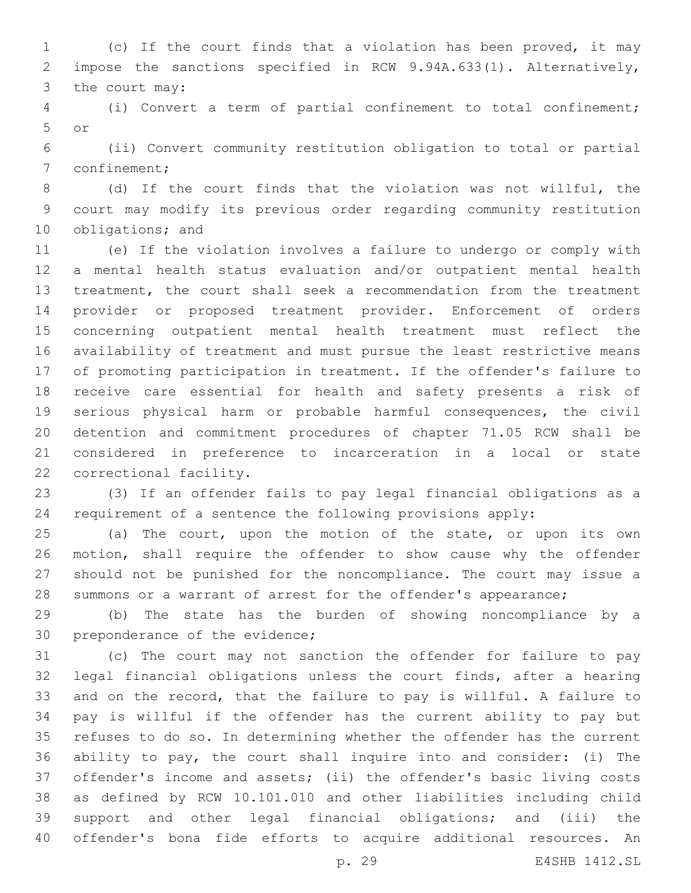(c) If the court finds that a violation has been proved, it may impose the sanctions specified in RCW 9.94A.633(1). Alternatively, 3 the court may:

 (i) Convert a term of partial confinement to total confinement; or5

 (ii) Convert community restitution obligation to total or partial 7 confinement;

 (d) If the court finds that the violation was not willful, the court may modify its previous order regarding community restitution 10 obligations; and

 (e) If the violation involves a failure to undergo or comply with a mental health status evaluation and/or outpatient mental health treatment, the court shall seek a recommendation from the treatment provider or proposed treatment provider. Enforcement of orders concerning outpatient mental health treatment must reflect the availability of treatment and must pursue the least restrictive means of promoting participation in treatment. If the offender's failure to receive care essential for health and safety presents a risk of serious physical harm or probable harmful consequences, the civil detention and commitment procedures of chapter 71.05 RCW shall be considered in preference to incarceration in a local or state 22 correctional facility.

 (3) If an offender fails to pay legal financial obligations as a requirement of a sentence the following provisions apply:

 (a) The court, upon the motion of the state, or upon its own motion, shall require the offender to show cause why the offender should not be punished for the noncompliance. The court may issue a summons or a warrant of arrest for the offender's appearance;

 (b) The state has the burden of showing noncompliance by a 30 preponderance of the evidence;

 (c) The court may not sanction the offender for failure to pay legal financial obligations unless the court finds, after a hearing and on the record, that the failure to pay is willful. A failure to pay is willful if the offender has the current ability to pay but refuses to do so. In determining whether the offender has the current ability to pay, the court shall inquire into and consider: (i) The offender's income and assets; (ii) the offender's basic living costs as defined by RCW 10.101.010 and other liabilities including child support and other legal financial obligations; and (iii) the offender's bona fide efforts to acquire additional resources. An

p. 29 E4SHB 1412.SL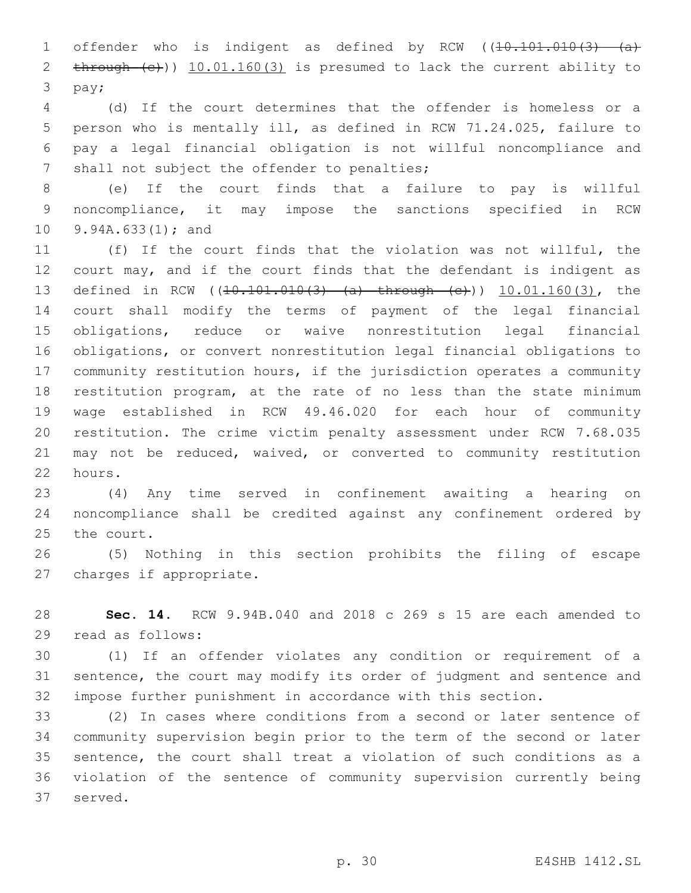1 offender who is indigent as defined by RCW ((10.101.010(3) (a) 2 through (e))) 10.01.160(3) is presumed to lack the current ability to 3 pay;

 (d) If the court determines that the offender is homeless or a person who is mentally ill, as defined in RCW 71.24.025, failure to pay a legal financial obligation is not willful noncompliance and 7 shall not subject the offender to penalties;

 (e) If the court finds that a failure to pay is willful noncompliance, it may impose the sanctions specified in RCW 10 9.94A.633(1); and

 (f) If the court finds that the violation was not willful, the 12 court may, and if the court finds that the defendant is indigent as 13 defined in RCW ((10.101.010(3) (a) through (e))) 10.01.160(3), the court shall modify the terms of payment of the legal financial obligations, reduce or waive nonrestitution legal financial obligations, or convert nonrestitution legal financial obligations to community restitution hours, if the jurisdiction operates a community restitution program, at the rate of no less than the state minimum wage established in RCW 49.46.020 for each hour of community restitution. The crime victim penalty assessment under RCW 7.68.035 may not be reduced, waived, or converted to community restitution 22 hours.

 (4) Any time served in confinement awaiting a hearing on noncompliance shall be credited against any confinement ordered by 25 the court.

 (5) Nothing in this section prohibits the filing of escape 27 charges if appropriate.

 **Sec. 14.** RCW 9.94B.040 and 2018 c 269 s 15 are each amended to 29 read as follows:

 (1) If an offender violates any condition or requirement of a sentence, the court may modify its order of judgment and sentence and impose further punishment in accordance with this section.

 (2) In cases where conditions from a second or later sentence of community supervision begin prior to the term of the second or later sentence, the court shall treat a violation of such conditions as a violation of the sentence of community supervision currently being 37 served.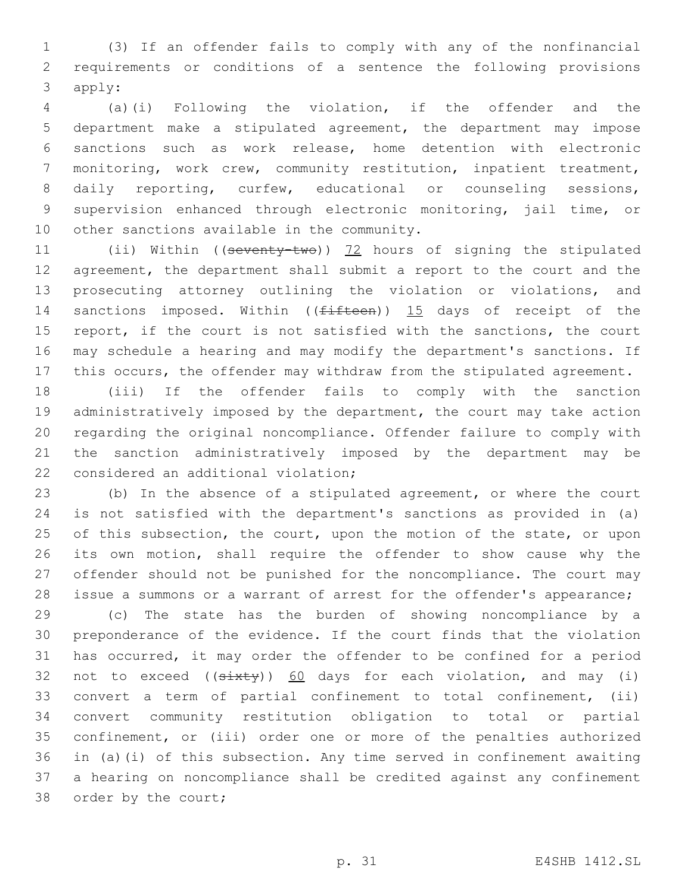(3) If an offender fails to comply with any of the nonfinancial requirements or conditions of a sentence the following provisions 3 apply:

 (a)(i) Following the violation, if the offender and the department make a stipulated agreement, the department may impose sanctions such as work release, home detention with electronic monitoring, work crew, community restitution, inpatient treatment, 8 daily reporting, curfew, educational or counseling sessions, supervision enhanced through electronic monitoring, jail time, or 10 other sanctions available in the community.

11 (ii) Within ((seventy-two)) 72 hours of signing the stipulated agreement, the department shall submit a report to the court and the prosecuting attorney outlining the violation or violations, and 14 sanctions imposed. Within ((fifteen)) 15 days of receipt of the 15 report, if the court is not satisfied with the sanctions, the court may schedule a hearing and may modify the department's sanctions. If this occurs, the offender may withdraw from the stipulated agreement.

 (iii) If the offender fails to comply with the sanction 19 administratively imposed by the department, the court may take action regarding the original noncompliance. Offender failure to comply with the sanction administratively imposed by the department may be 22 considered an additional violation;

 (b) In the absence of a stipulated agreement, or where the court is not satisfied with the department's sanctions as provided in (a) 25 of this subsection, the court, upon the motion of the state, or upon its own motion, shall require the offender to show cause why the offender should not be punished for the noncompliance. The court may 28 issue a summons or a warrant of arrest for the offender's appearance;

 (c) The state has the burden of showing noncompliance by a preponderance of the evidence. If the court finds that the violation has occurred, it may order the offender to be confined for a period 32 not to exceed  $((sixty))$  60 days for each violation, and may (i) convert a term of partial confinement to total confinement, (ii) convert community restitution obligation to total or partial confinement, or (iii) order one or more of the penalties authorized in (a)(i) of this subsection. Any time served in confinement awaiting a hearing on noncompliance shall be credited against any confinement 38 order by the court;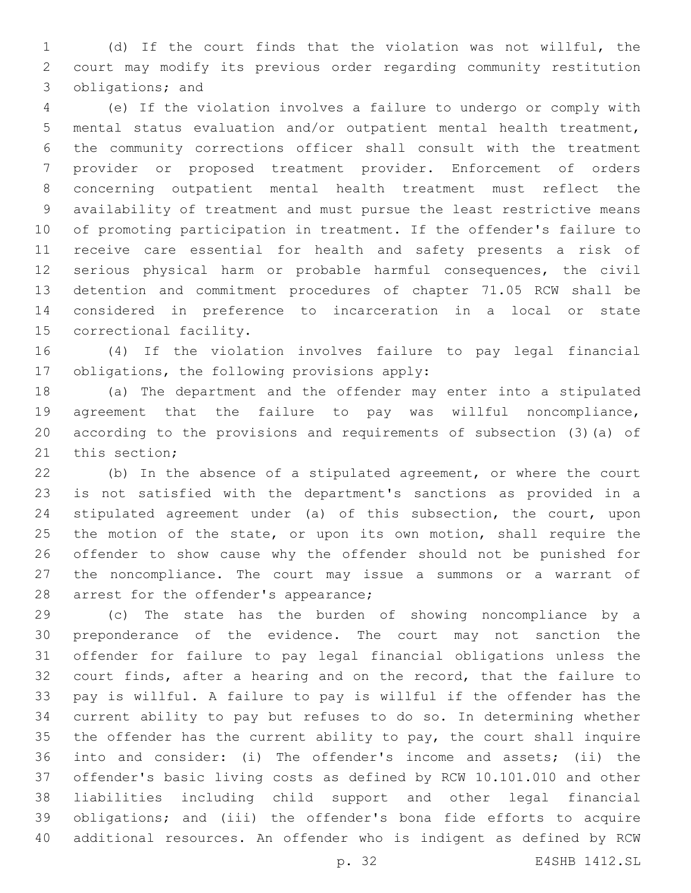(d) If the court finds that the violation was not willful, the court may modify its previous order regarding community restitution 3 obligations; and

 (e) If the violation involves a failure to undergo or comply with mental status evaluation and/or outpatient mental health treatment, the community corrections officer shall consult with the treatment provider or proposed treatment provider. Enforcement of orders concerning outpatient mental health treatment must reflect the availability of treatment and must pursue the least restrictive means of promoting participation in treatment. If the offender's failure to receive care essential for health and safety presents a risk of serious physical harm or probable harmful consequences, the civil detention and commitment procedures of chapter 71.05 RCW shall be considered in preference to incarceration in a local or state 15 correctional facility.

 (4) If the violation involves failure to pay legal financial 17 obligations, the following provisions apply:

 (a) The department and the offender may enter into a stipulated agreement that the failure to pay was willful noncompliance, according to the provisions and requirements of subsection (3)(a) of 21 this section;

 (b) In the absence of a stipulated agreement, or where the court is not satisfied with the department's sanctions as provided in a stipulated agreement under (a) of this subsection, the court, upon 25 the motion of the state, or upon its own motion, shall require the offender to show cause why the offender should not be punished for the noncompliance. The court may issue a summons or a warrant of 28 arrest for the offender's appearance;

 (c) The state has the burden of showing noncompliance by a preponderance of the evidence. The court may not sanction the offender for failure to pay legal financial obligations unless the court finds, after a hearing and on the record, that the failure to pay is willful. A failure to pay is willful if the offender has the current ability to pay but refuses to do so. In determining whether the offender has the current ability to pay, the court shall inquire into and consider: (i) The offender's income and assets; (ii) the offender's basic living costs as defined by RCW 10.101.010 and other liabilities including child support and other legal financial obligations; and (iii) the offender's bona fide efforts to acquire additional resources. An offender who is indigent as defined by RCW

p. 32 E4SHB 1412.SL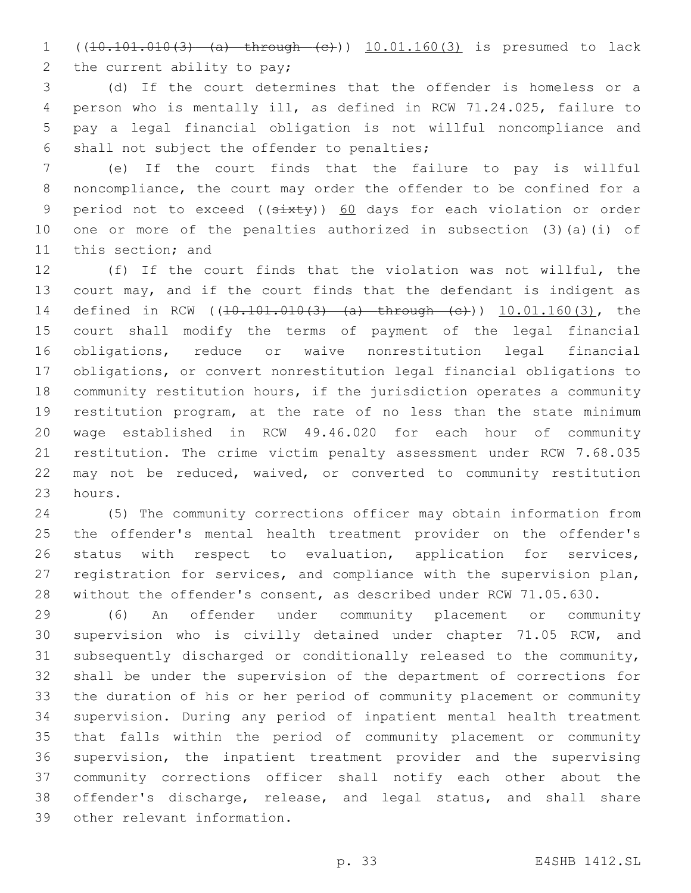((10.101.010(3) (a) through (c))) 10.01.160(3) is presumed to lack 2 the current ability to pay;

 (d) If the court determines that the offender is homeless or a person who is mentally ill, as defined in RCW 71.24.025, failure to pay a legal financial obligation is not willful noncompliance and 6 shall not subject the offender to penalties;

 (e) If the court finds that the failure to pay is willful noncompliance, the court may order the offender to be confined for a 9 period not to exceed ((sixty)) 60 days for each violation or order one or more of the penalties authorized in subsection (3)(a)(i) of 11 this section; and

 (f) If the court finds that the violation was not willful, the court may, and if the court finds that the defendant is indigent as 14 defined in RCW ((10.101.010(3) (a) through (e))) 10.01.160(3), the court shall modify the terms of payment of the legal financial obligations, reduce or waive nonrestitution legal financial obligations, or convert nonrestitution legal financial obligations to community restitution hours, if the jurisdiction operates a community restitution program, at the rate of no less than the state minimum wage established in RCW 49.46.020 for each hour of community restitution. The crime victim penalty assessment under RCW 7.68.035 may not be reduced, waived, or converted to community restitution 23 hours.

 (5) The community corrections officer may obtain information from the offender's mental health treatment provider on the offender's status with respect to evaluation, application for services, registration for services, and compliance with the supervision plan, without the offender's consent, as described under RCW 71.05.630.

 (6) An offender under community placement or community supervision who is civilly detained under chapter 71.05 RCW, and subsequently discharged or conditionally released to the community, shall be under the supervision of the department of corrections for the duration of his or her period of community placement or community supervision. During any period of inpatient mental health treatment that falls within the period of community placement or community supervision, the inpatient treatment provider and the supervising community corrections officer shall notify each other about the offender's discharge, release, and legal status, and shall share 39 other relevant information.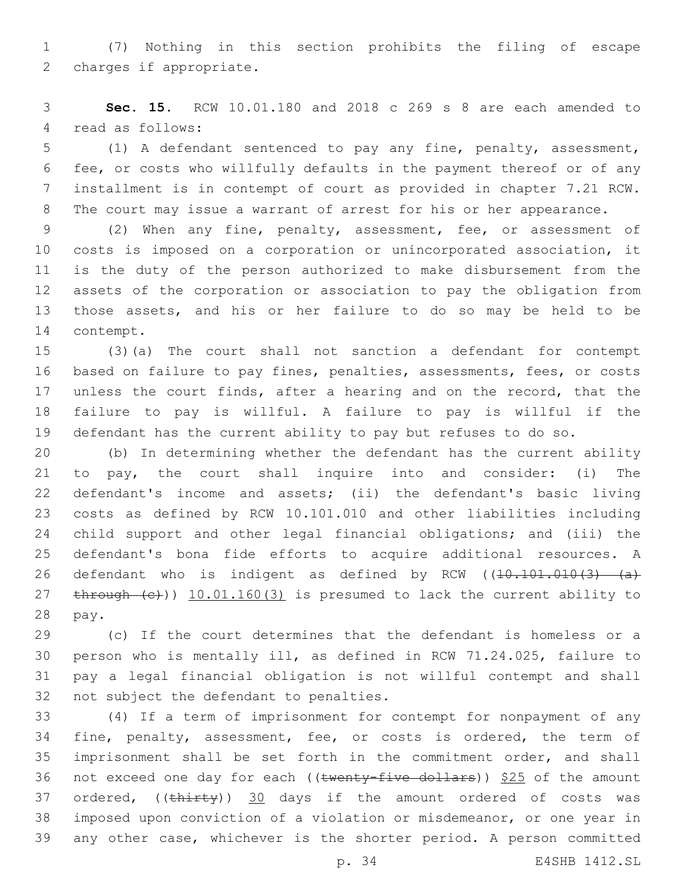(7) Nothing in this section prohibits the filing of escape 2 charges if appropriate.

 **Sec. 15.** RCW 10.01.180 and 2018 c 269 s 8 are each amended to 4 read as follows:

 (1) A defendant sentenced to pay any fine, penalty, assessment, fee, or costs who willfully defaults in the payment thereof or of any installment is in contempt of court as provided in chapter 7.21 RCW. 8 The court may issue a warrant of arrest for his or her appearance.

 (2) When any fine, penalty, assessment, fee, or assessment of costs is imposed on a corporation or unincorporated association, it is the duty of the person authorized to make disbursement from the assets of the corporation or association to pay the obligation from those assets, and his or her failure to do so may be held to be 14 contempt.

 (3)(a) The court shall not sanction a defendant for contempt based on failure to pay fines, penalties, assessments, fees, or costs unless the court finds, after a hearing and on the record, that the failure to pay is willful. A failure to pay is willful if the defendant has the current ability to pay but refuses to do so.

 (b) In determining whether the defendant has the current ability to pay, the court shall inquire into and consider: (i) The defendant's income and assets; (ii) the defendant's basic living costs as defined by RCW 10.101.010 and other liabilities including child support and other legal financial obligations; and (iii) the defendant's bona fide efforts to acquire additional resources. A 26 defendant who is indigent as defined by RCW  $(10.101.010(3) - (a)$ 27 through (c))) 10.01.160(3) is presumed to lack the current ability to 28 pay.

 (c) If the court determines that the defendant is homeless or a person who is mentally ill, as defined in RCW 71.24.025, failure to pay a legal financial obligation is not willful contempt and shall 32 not subject the defendant to penalties.

 (4) If a term of imprisonment for contempt for nonpayment of any 34 fine, penalty, assessment, fee, or costs is ordered, the term of imprisonment shall be set forth in the commitment order, and shall 36 not exceed one day for each ((twenty-five dollars)) \$25 of the amount 37 ordered, ((thirty)) 30 days if the amount ordered of costs was imposed upon conviction of a violation or misdemeanor, or one year in any other case, whichever is the shorter period. A person committed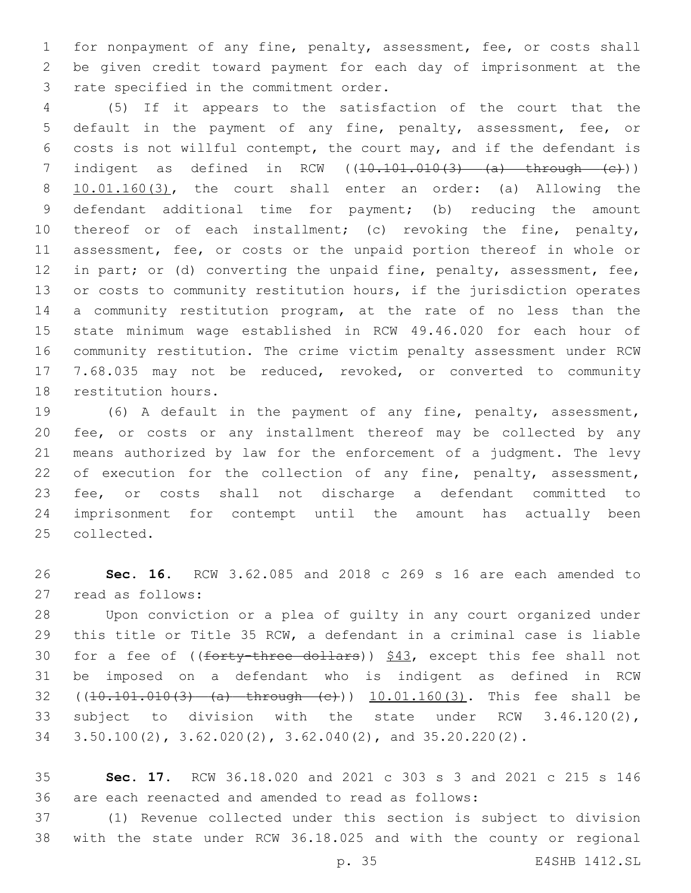for nonpayment of any fine, penalty, assessment, fee, or costs shall be given credit toward payment for each day of imprisonment at the 3 rate specified in the commitment order.

 (5) If it appears to the satisfaction of the court that the default in the payment of any fine, penalty, assessment, fee, or costs is not willful contempt, the court may, and if the defendant is 7 indigent as defined in RCW  $((10.101.010(3) - (a) - th$ rough  $(e))$  10.01.160(3), the court shall enter an order: (a) Allowing the defendant additional time for payment; (b) reducing the amount 10 thereof or of each installment; (c) revoking the fine, penalty, assessment, fee, or costs or the unpaid portion thereof in whole or 12 in part; or (d) converting the unpaid fine, penalty, assessment, fee, 13 or costs to community restitution hours, if the jurisdiction operates a community restitution program, at the rate of no less than the state minimum wage established in RCW 49.46.020 for each hour of community restitution. The crime victim penalty assessment under RCW 7.68.035 may not be reduced, revoked, or converted to community 18 restitution hours.

 (6) A default in the payment of any fine, penalty, assessment, fee, or costs or any installment thereof may be collected by any means authorized by law for the enforcement of a judgment. The levy 22 of execution for the collection of any fine, penalty, assessment, fee, or costs shall not discharge a defendant committed to imprisonment for contempt until the amount has actually been 25 collected.

 **Sec. 16.** RCW 3.62.085 and 2018 c 269 s 16 are each amended to 27 read as follows:

 Upon conviction or a plea of guilty in any court organized under this title or Title 35 RCW, a defendant in a criminal case is liable 30 for a fee of  $((f~~orty-three dollars))~~$  \$43</del>, except this fee shall not be imposed on a defendant who is indigent as defined in RCW 32 ((10.101.010(3) (a) through (c))) 10.01.160(3). This fee shall be subject to division with the state under RCW 3.46.120(2), 3.50.100(2), 3.62.020(2), 3.62.040(2), and 35.20.220(2).

 **Sec. 17.** RCW 36.18.020 and 2021 c 303 s 3 and 2021 c 215 s 146 are each reenacted and amended to read as follows:

 (1) Revenue collected under this section is subject to division with the state under RCW 36.18.025 and with the county or regional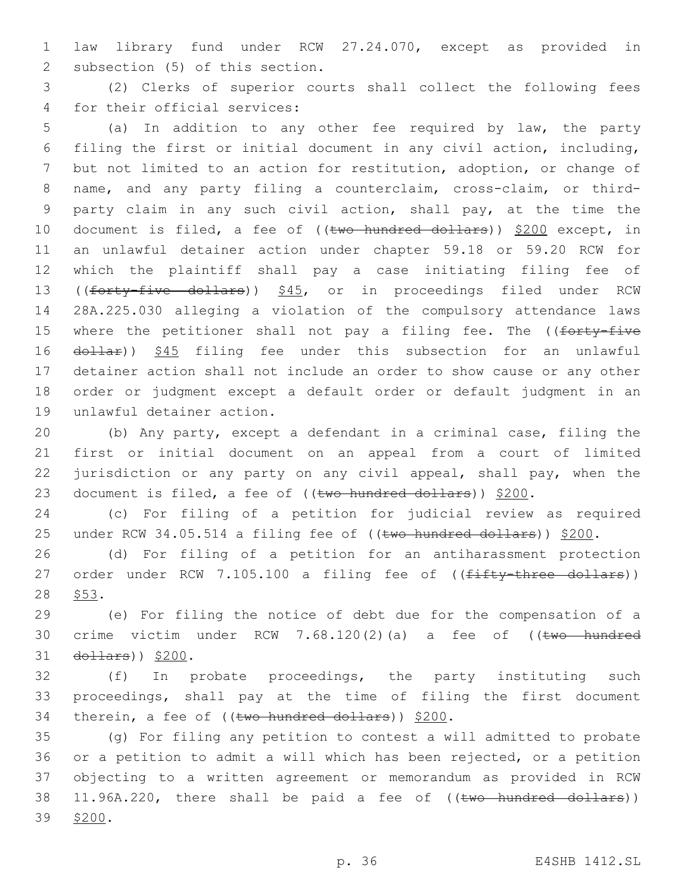1 law library fund under RCW 27.24.070, except as provided in 2 subsection (5) of this section.

3 (2) Clerks of superior courts shall collect the following fees 4 for their official services:

 (a) In addition to any other fee required by law, the party filing the first or initial document in any civil action, including, but not limited to an action for restitution, adoption, or change of name, and any party filing a counterclaim, cross-claim, or third- party claim in any such civil action, shall pay, at the time the 10 document is filed, a fee of ((two hundred dollars)) \$200 except, in an unlawful detainer action under chapter 59.18 or 59.20 RCW for which the plaintiff shall pay a case initiating filing fee of 13 ((forty-five dollars)) \$45, or in proceedings filed under RCW 28A.225.030 alleging a violation of the compulsory attendance laws 15 where the petitioner shall not pay a filing fee. The ((forty-five 16 dollar)) \$45 filing fee under this subsection for an unlawful detainer action shall not include an order to show cause or any other order or judgment except a default order or default judgment in an 19 unlawful detainer action.

20 (b) Any party, except a defendant in a criminal case, filing the 21 first or initial document on an appeal from a court of limited 22 jurisdiction or any party on any civil appeal, shall pay, when the 23 document is filed, a fee of  $((\text{two-hundred dollars}))$  \$200.

24 (c) For filing of a petition for judicial review as required 25 under RCW 34.05.514 a filing fee of ((two hundred dollars)) \$200.

26 (d) For filing of a petition for an antiharassment protection 27 order under RCW 7.105.100 a filing fee of ((fifty-three dollars)) 28 \$53.

29 (e) For filing the notice of debt due for the compensation of a 30 crime victim under RCW 7.68.120(2)(a) a fee of ((two hundred 31 dollars)) \$200.

32 (f) In probate proceedings, the party instituting such 33 proceedings, shall pay at the time of filing the first document 34 therein, a fee of ((two hundred dollars)) \$200.

35 (g) For filing any petition to contest a will admitted to probate 36 or a petition to admit a will which has been rejected, or a petition 37 objecting to a written agreement or memorandum as provided in RCW 38 11.96A.220, there shall be paid a fee of ((two hundred dollars)) 39 \$200.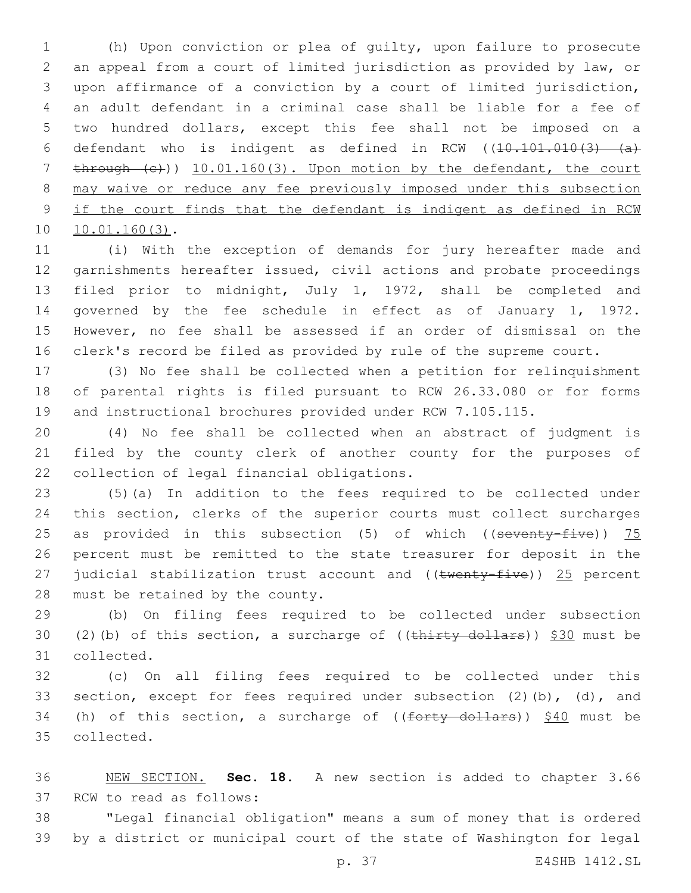(h) Upon conviction or plea of guilty, upon failure to prosecute an appeal from a court of limited jurisdiction as provided by law, or upon affirmance of a conviction by a court of limited jurisdiction, an adult defendant in a criminal case shall be liable for a fee of two hundred dollars, except this fee shall not be imposed on a 6 defendant who is indigent as defined in RCW  $(10.101.010(3)$  (a) 7 through (c))) 10.01.160(3). Upon motion by the defendant, the court may waive or reduce any fee previously imposed under this subsection if the court finds that the defendant is indigent as defined in RCW 10.01.160(3).

 (i) With the exception of demands for jury hereafter made and garnishments hereafter issued, civil actions and probate proceedings filed prior to midnight, July 1, 1972, shall be completed and governed by the fee schedule in effect as of January 1, 1972. However, no fee shall be assessed if an order of dismissal on the clerk's record be filed as provided by rule of the supreme court.

 (3) No fee shall be collected when a petition for relinquishment of parental rights is filed pursuant to RCW 26.33.080 or for forms and instructional brochures provided under RCW 7.105.115.

 (4) No fee shall be collected when an abstract of judgment is filed by the county clerk of another county for the purposes of 22 collection of legal financial obligations.

 (5)(a) In addition to the fees required to be collected under this section, clerks of the superior courts must collect surcharges 25 as provided in this subsection  $(5)$  of which  $($  (seventy-five))  $75$  percent must be remitted to the state treasurer for deposit in the 27 judicial stabilization trust account and  $((\text{twenty-five}))$  25 percent 28 must be retained by the county.

 (b) On filing fees required to be collected under subsection 30 (2)(b) of this section, a surcharge of  $((\text{thirty dollars}))$  \$30 must be 31 collected.

 (c) On all filing fees required to be collected under this section, except for fees required under subsection (2)(b), (d), and 34 (h) of this section, a surcharge of  $((forty-dollars))$  \$40 must be 35 collected.

 NEW SECTION. **Sec. 18.** A new section is added to chapter 3.66 37 RCW to read as follows:

 "Legal financial obligation" means a sum of money that is ordered by a district or municipal court of the state of Washington for legal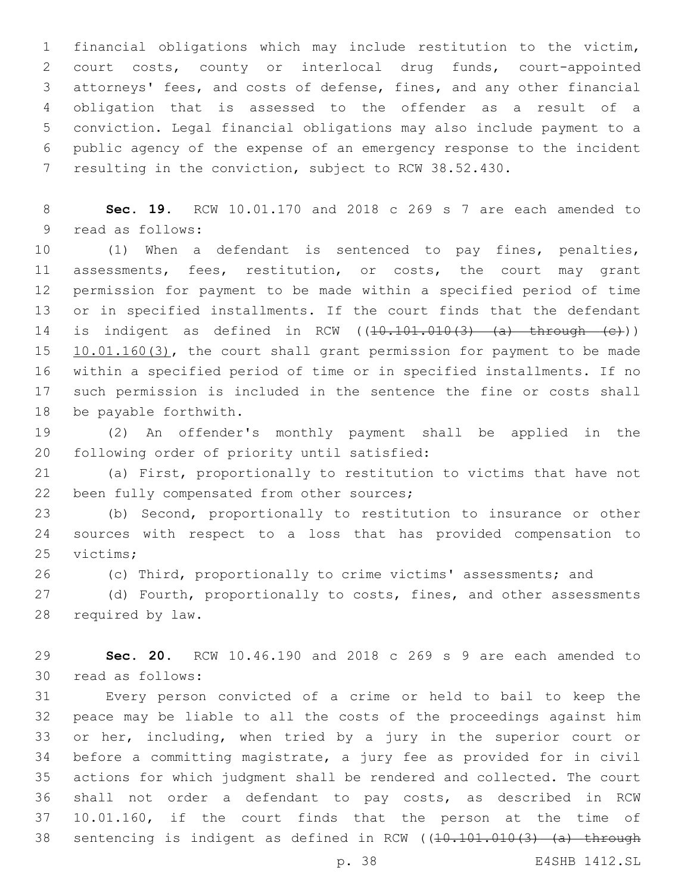financial obligations which may include restitution to the victim, court costs, county or interlocal drug funds, court-appointed attorneys' fees, and costs of defense, fines, and any other financial obligation that is assessed to the offender as a result of a conviction. Legal financial obligations may also include payment to a public agency of the expense of an emergency response to the incident resulting in the conviction, subject to RCW 38.52.430.

 **Sec. 19.** RCW 10.01.170 and 2018 c 269 s 7 are each amended to 9 read as follows:

 (1) When a defendant is sentenced to pay fines, penalties, assessments, fees, restitution, or costs, the court may grant permission for payment to be made within a specified period of time or in specified installments. If the court finds that the defendant 14 is indigent as defined in RCW  $((10.101.010(3) - (a) - through - (c)))$ 15 10.01.160(3), the court shall grant permission for payment to be made within a specified period of time or in specified installments. If no such permission is included in the sentence the fine or costs shall 18 be payable forthwith.

 (2) An offender's monthly payment shall be applied in the 20 following order of priority until satisfied:

 (a) First, proportionally to restitution to victims that have not 22 been fully compensated from other sources;

 (b) Second, proportionally to restitution to insurance or other sources with respect to a loss that has provided compensation to 25 victims:

(c) Third, proportionally to crime victims' assessments; and

27 (d) Fourth, proportionally to costs, fines, and other assessments 28 required by law.

 **Sec. 20.** RCW 10.46.190 and 2018 c 269 s 9 are each amended to 30 read as follows:

 Every person convicted of a crime or held to bail to keep the peace may be liable to all the costs of the proceedings against him or her, including, when tried by a jury in the superior court or before a committing magistrate, a jury fee as provided for in civil actions for which judgment shall be rendered and collected. The court shall not order a defendant to pay costs, as described in RCW 10.01.160, if the court finds that the person at the time of 38 sentencing is indigent as defined in RCW ((10.101.010(3) (a) through

p. 38 E4SHB 1412.SL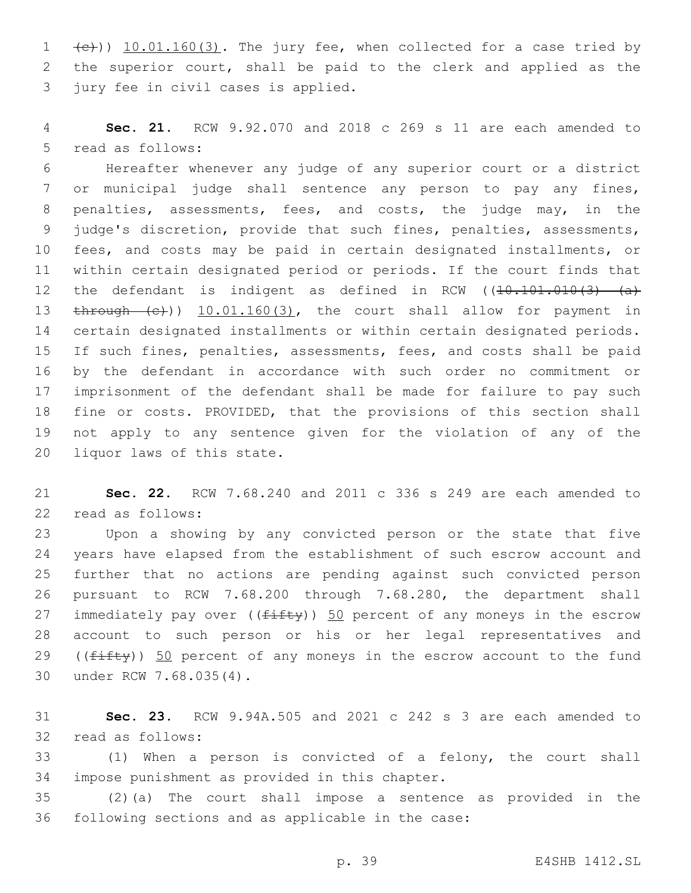$(1 + \epsilon)$ )  $10.01.160(3)$ . The jury fee, when collected for a case tried by the superior court, shall be paid to the clerk and applied as the 3 jury fee in civil cases is applied.

 **Sec. 21.** RCW 9.92.070 and 2018 c 269 s 11 are each amended to 5 read as follows:

 Hereafter whenever any judge of any superior court or a district or municipal judge shall sentence any person to pay any fines, penalties, assessments, fees, and costs, the judge may, in the judge's discretion, provide that such fines, penalties, assessments, fees, and costs may be paid in certain designated installments, or within certain designated period or periods. If the court finds that 12 the defendant is indigent as defined in RCW ((10.101.010(3) (a) 13 through (c))  $10.01.160(3)$ , the court shall allow for payment in certain designated installments or within certain designated periods. If such fines, penalties, assessments, fees, and costs shall be paid by the defendant in accordance with such order no commitment or imprisonment of the defendant shall be made for failure to pay such fine or costs. PROVIDED, that the provisions of this section shall not apply to any sentence given for the violation of any of the 20 liquor laws of this state.

 **Sec. 22.** RCW 7.68.240 and 2011 c 336 s 249 are each amended to 22 read as follows:

 Upon a showing by any convicted person or the state that five years have elapsed from the establishment of such escrow account and further that no actions are pending against such convicted person pursuant to RCW 7.68.200 through 7.68.280, the department shall 27 immediately pay over  $((fiff)y)$  50 percent of any moneys in the escrow account to such person or his or her legal representatives and 29 ((fifty)) 50 percent of any moneys in the escrow account to the fund 30 under RCW 7.68.035(4).

 **Sec. 23.** RCW 9.94A.505 and 2021 c 242 s 3 are each amended to 32 read as follows:

 (1) When a person is convicted of a felony, the court shall 34 impose punishment as provided in this chapter.

 (2)(a) The court shall impose a sentence as provided in the 36 following sections and as applicable in the case: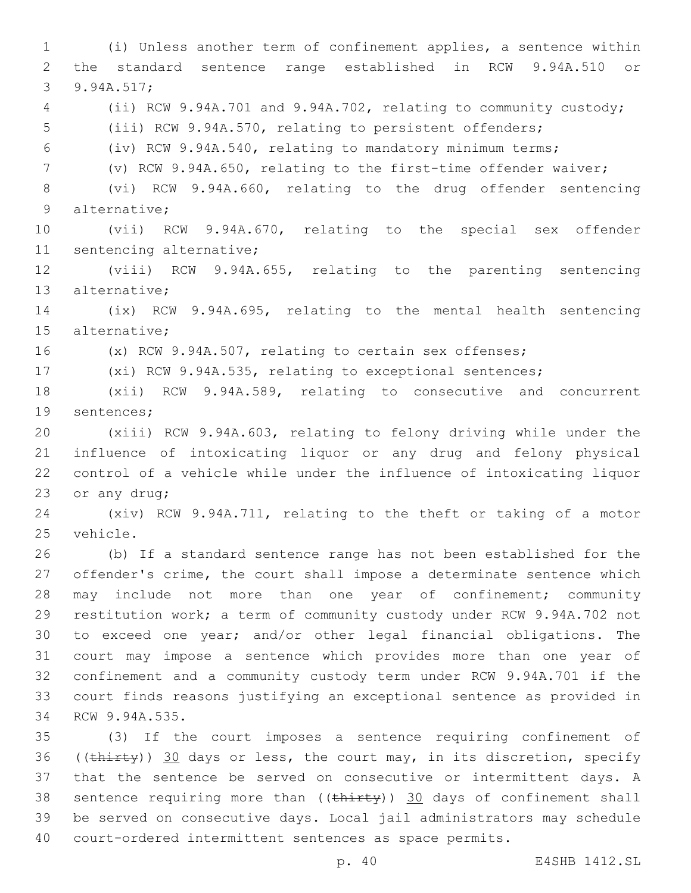(i) Unless another term of confinement applies, a sentence within the standard sentence range established in RCW 9.94A.510 or 3 9.94A.517; (ii) RCW 9.94A.701 and 9.94A.702, relating to community custody; (iii) RCW 9.94A.570, relating to persistent offenders; (iv) RCW 9.94A.540, relating to mandatory minimum terms; (v) RCW 9.94A.650, relating to the first-time offender waiver; (vi) RCW 9.94A.660, relating to the drug offender sentencing 9 alternative; (vii) RCW 9.94A.670, relating to the special sex offender 11 sentencing alternative; (viii) RCW 9.94A.655, relating to the parenting sentencing 13 alternative; (ix) RCW 9.94A.695, relating to the mental health sentencing 15 alternative; (x) RCW 9.94A.507, relating to certain sex offenses; (xi) RCW 9.94A.535, relating to exceptional sentences; (xii) RCW 9.94A.589, relating to consecutive and concurrent 19 sentences; (xiii) RCW 9.94A.603, relating to felony driving while under the influence of intoxicating liquor or any drug and felony physical control of a vehicle while under the influence of intoxicating liquor 23 or any drug; (xiv) RCW 9.94A.711, relating to the theft or taking of a motor 25 vehicle. (b) If a standard sentence range has not been established for the offender's crime, the court shall impose a determinate sentence which may include not more than one year of confinement; community restitution work; a term of community custody under RCW 9.94A.702 not to exceed one year; and/or other legal financial obligations. The court may impose a sentence which provides more than one year of confinement and a community custody term under RCW 9.94A.701 if the court finds reasons justifying an exceptional sentence as provided in 34 RCW 9.94A.535. (3) If the court imposes a sentence requiring confinement of 36 (( $\frac{thirty}{30}$  days or less, the court may, in its discretion, specify that the sentence be served on consecutive or intermittent days. A 38 sentence requiring more than ((thirty)) 30 days of confinement shall

 be served on consecutive days. Local jail administrators may schedule court-ordered intermittent sentences as space permits.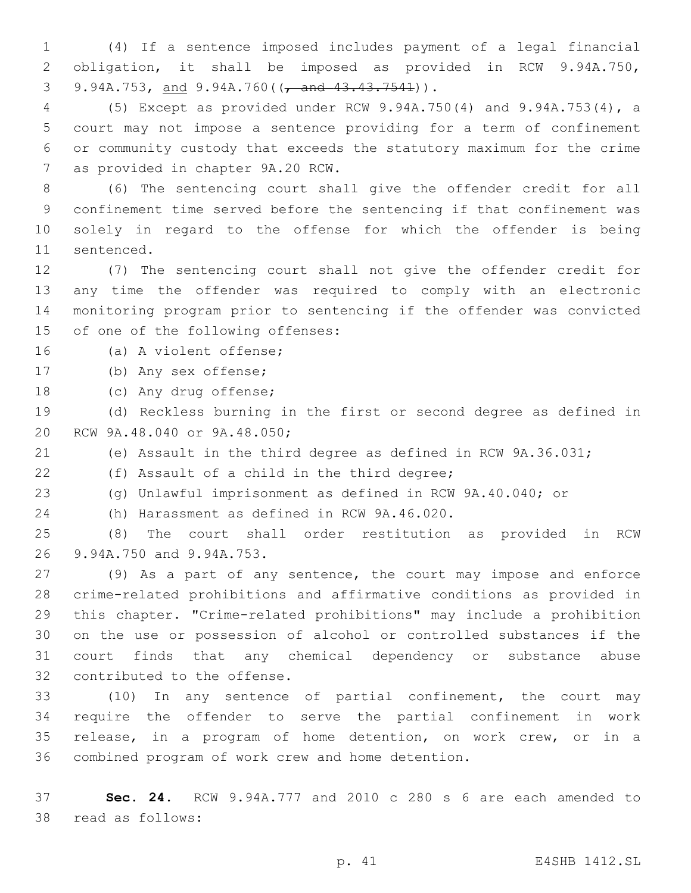(4) If a sentence imposed includes payment of a legal financial obligation, it shall be imposed as provided in RCW 9.94A.750, 9.94A.753, and 9.94A.760( $\frac{1}{1}$  and  $\frac{43.43.7541}{1}$ ).

 (5) Except as provided under RCW 9.94A.750(4) and 9.94A.753(4), a court may not impose a sentence providing for a term of confinement or community custody that exceeds the statutory maximum for the crime 7 as provided in chapter 9A.20 RCW.

 (6) The sentencing court shall give the offender credit for all confinement time served before the sentencing if that confinement was solely in regard to the offense for which the offender is being 11 sentenced.

 (7) The sentencing court shall not give the offender credit for any time the offender was required to comply with an electronic monitoring program prior to sentencing if the offender was convicted 15 of one of the following offenses:

16 (a) A violent offense;

17 (b) Any sex offense;

18 (c) Any drug offense;

 (d) Reckless burning in the first or second degree as defined in 20 RCW 9A.48.040 or 9A.48.050;

(e) Assault in the third degree as defined in RCW 9A.36.031;

22 (f) Assault of a child in the third degree;

(g) Unlawful imprisonment as defined in RCW 9A.40.040; or

24 (h) Harassment as defined in RCW 9A.46.020.

 (8) The court shall order restitution as provided in RCW 26 9.94A.750 and 9.94A.753.

 (9) As a part of any sentence, the court may impose and enforce crime-related prohibitions and affirmative conditions as provided in this chapter. "Crime-related prohibitions" may include a prohibition on the use or possession of alcohol or controlled substances if the court finds that any chemical dependency or substance abuse 32 contributed to the offense.

 (10) In any sentence of partial confinement, the court may require the offender to serve the partial confinement in work release, in a program of home detention, on work crew, or in a 36 combined program of work crew and home detention.

 **Sec. 24.** RCW 9.94A.777 and 2010 c 280 s 6 are each amended to 38 read as follows: